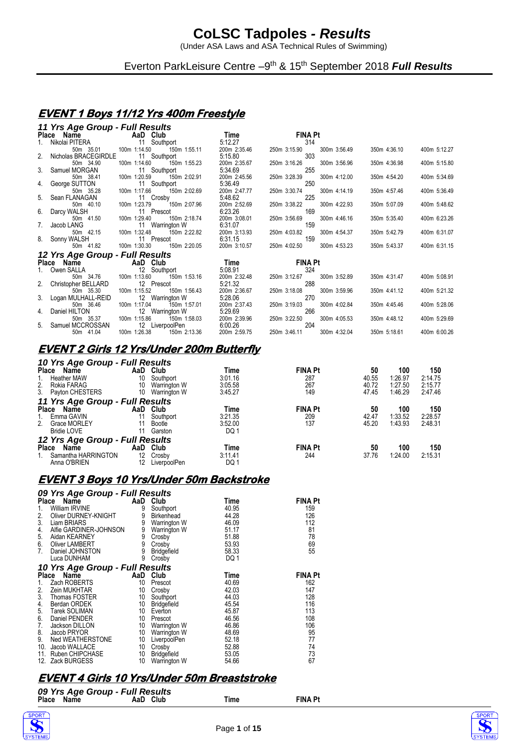(Under ASA Laws and ASA Technical Rules of Swimming)

Everton ParkLeisure Centre -9<sup>th</sup> & 15<sup>th</sup> September 2018 Full Results

### **EVENT 1 Boys 11/12 Yrs 400m Freestyle**

| 11 Yrs Age Group - Full Results                 |                                                                |                         |                                     |              |              |
|-------------------------------------------------|----------------------------------------------------------------|-------------------------|-------------------------------------|--------------|--------------|
| Place Name AaD Club                             |                                                                | Time                    | <b>FINA Pt</b>                      |              |              |
| Nikolai PITERA 11 Southport                     |                                                                | 5:12.27                 | 314                                 |              |              |
| 50m 35.01                                       | 100m 1:14.50<br>150m 1:55.11                                   | 200m 2:35.46            | 300m 3:56.49<br>250m 3:15.90        | 350m 4:36.10 | 400m 5:12.27 |
| 2. Nicholas BRACEGIRDLE                         | 11 Southport                                                   | 5:15.80                 | 303                                 |              |              |
| 50m 34.90                                       | 100m 1:14.60<br>150m 1:55.23                                   | 200m 2:35.67            | 250m 3:16.26<br>300m 3:56.96        | 350m 4:36.98 | 400m 5:15.80 |
| 3. Samuel MORGAN 11 S<br>50m 38.41 100m 1:20.59 | 11 Southport                                                   | 5:34.69                 | 255                                 |              |              |
|                                                 | 150m 2:02.91                                                   | 200m 2:45.56            | 250m 3:28.39<br>300m 4:12.00        | 350m 4:54.20 | 400m 5:34.69 |
| 4. George SUTTON                                | 11 Southport                                                   | 5:36.49                 | 250                                 |              |              |
| 50m 35.28                                       | 100m 1:17.66<br>150m 2:02.69                                   | 200m 2:47.77            | 300m 4:14.19<br>250m 3:30.74        | 350m 4:57.46 | 400m 5:36.49 |
| 5. Sean FLANAGAN<br>50m 40.10                   | 11 Crosby<br>100m 1:23.79                                      | 5:48.62<br>200m 2:52.69 | 225<br>250m 3:38.22<br>300m 4:22.93 |              |              |
| 6. Darcy WALSH                                  | 150m 2:07.96<br>11 Prescot                                     | 6:23.26                 | 169                                 | 350m 5:07.09 | 400m 5:48.62 |
| 50m 41.50                                       | 100m 1:29.40<br>150m 2:18.74                                   | 200m 3:08.01            | 250m 3:56.69<br>300m 4:46.16        | 350m 5:35.40 | 400m 6:23.26 |
| 7. Jacob LANG                                   | 11 Warrington W                                                | 6.31.07                 | 159                                 |              |              |
| 11 W<br>50m 42.15 100m 1:32.48                  | 150m 2:22.82                                                   | 200m 3:13.93            | 250m 4:03.82<br>300m 4:54.37        | 350m 5:42.79 | 400m 6:31.07 |
| 8. Sonny WALSH                                  | 11 Prescot                                                     | 6:31.15                 | 159                                 |              |              |
| 50m 41.82                                       | 100m 1:30.30<br>150m 2:20.05                                   | 200m 3:10.57            | 250m 4:02.50<br>300m 4:53.23        | 350m 5:43.37 | 400m 6:31.15 |
| 12 Yrs Age Group - Full Results                 |                                                                |                         |                                     |              |              |
| Place Name <b>AaD</b> Club                      | s<br>Time                                                      |                         | <b>FINA Pt</b>                      |              |              |
| 1. Owen SALLA 12 Southport                      |                                                                | 5:08.91                 | 324                                 |              |              |
| 50m 34.76 100m 1:13.60                          | 150m 1:53.16                                                   | 200m 2:32.48            | 300m 3:52.89<br>250m 3:12.67        | 350m 4:31.47 | 400m 5:08.91 |
| 2. Christopher BELLARD                          | 12 Prescot                                                     | 5:21.32                 | 288                                 |              |              |
| 50m 35.30                                       | 100m 1:15.52<br>150m 1:56.43                                   | 200m 2:36.67            | 250m 3:18.08<br>300m 3:59.96        | 350m 4:41.12 | 400m 5:21.32 |
| 3. Logan MULHALL-REID                           | 12 Warrington W                                                | 5:28.06                 | 270                                 |              |              |
| 50m 36.46                                       | 100m 1:17.04<br>150m 1:57.01                                   | 200m 2:37.43            | 250m 3:19.03<br>300m 4:02.84        | 350m 4:45.46 | 400m 5:28.06 |
| 4. Daniel HILTON                                | 12 Warrington W<br>\ 12<br>100m 1:15.86                        | 5:29.69                 | 266                                 |              |              |
| 50m 35.37                                       | 150m 1:58.03                                                   | 200m 2:39.96            | 300m 4:05.53<br>250m 3:22.50        | 350m 4:48.12 | 400m 5:29.69 |
| 5. Samuel MCCROSSAN<br>41.04                    | 12 LiverpoolPen<br>and a strip<br>100m 1:26.38<br>150m 2:13.36 | 6:00.26<br>200m 2:59.75 | 204<br>250m 3:46.11                 | 350m 5:18.61 | 400m 6:00.26 |
| 50m                                             |                                                                |                         | 300m 4:32.04                        |              |              |

#### **EVENT 2 Girls 12 Yrs/Under 200m Butterfly**  *10 Yrs Age Group - Full Results*

| 10 Yrs Age Group - Full Results |     |              |         |                |       |         |         |
|---------------------------------|-----|--------------|---------|----------------|-------|---------|---------|
| <b>Place</b><br>Name            | AaD | Club         | Time    | <b>FINA Pt</b> | 50    | 100     | 150     |
| <b>Heather MAW</b><br>1.        | 10  | Southport    | 3:01.16 | 287            | 40.55 | 1:26.97 | 2:14.75 |
| Rokia FARAG<br>2.               | 10  | Warrington W | 3:05.58 | 267            | 40.72 | 1.27.50 | 2:15.77 |
| 3. Payton CHESTERS              | 10  | Warrington W | 3:45.27 | 149            | 47.45 | 1.46.29 | 2:47.46 |
| 11 Yrs Age Group - Full Results |     |              |         |                |       |         |         |
| Place<br>Name                   | AaD | Club         | Time    | <b>FINA Pt</b> | 50    | 100     | 150     |
| Emma GAVIN<br>1.                |     | Southport    | 3:21.35 | 209            | 42.47 | 1:33.52 | 2:28.57 |
| 2.<br><b>Grace MORLEY</b>       |     | Bootle       | 3:52.00 | 137            | 45.20 | 1.43.93 | 2:48.31 |
| <b>Bridie LOVE</b>              | 11  | Garston      | DQ 1    |                |       |         |         |
| 12 Yrs Age Group - Full Results |     |              |         |                |       |         |         |
| <b>Place</b><br>Name            | AaD | Club         | Time    | <b>FINA Pt</b> | 50    | 100     | 150     |
| Samantha HARRINGTON             | 12  | Crosby       | 3:11.41 | 244            | 37.76 | 1:24.00 | 2:15.31 |
| Anna O'BRIEN                    |     | LiverpoolPen | DQ 1    |                |       |         |         |

#### **EVENT 3 Boys 10 Yrs/Under 50m Backstroke**

|     | 09 Yrs Age Group - Full Results |     |              |             |                |
|-----|---------------------------------|-----|--------------|-------------|----------------|
|     | Place Name                      |     | AaD Club     | Time        | <b>FINA Pt</b> |
| 1.  | William IRVINE                  | 9   | Southport    | 40.95       | 159            |
| 2.  | Oliver DURNEY-KNIGHT            | 9   | Birkenhead   | 44.28       | 126            |
| 3.  | Liam BRIARS                     | 9   | Warrington W | 46.09       | 112            |
| 4.  | Alfie GARDINER-JOHNSON          | 9   | Warrington W | 51.17       | 81             |
| 5.  | Aidan KEARNEY                   | 9   | Crosby       | 51.88       | 78             |
| 6.  | Oliver LAMBERT                  | 9   | Crosby       | 53.93       | 69             |
| 7.  | Daniel JOHNSTON                 | 9   | Bridgefield  | 58.33       | 55             |
|     | Luca DUNHAM                     | 9   | Crosby       | DQ 1        |                |
|     | 10 Yrs Age Group - Full Results |     |              |             |                |
|     | Place Name                      | AaD | Club         | <b>Time</b> | <b>FINA Pt</b> |
| 1.  | Zach ROBERTS                    | 10  | Prescot      | 40.69       | 162            |
| 2.  | Zein MUKHTAR                    | 10  | Crosby       | 42.03       | 147            |
| 3.  | Thomas FOSTER                   | 10  | Southport    | 44.03       | 128            |
| 4.  | Berdan ORDEK                    | 10  | Bridgefield  | 45.54       | 116            |
| 5.  | Tarek SOLIMAN                   | 10  | Everton      | 45.87       | 113            |
| 6.  | Daniel PENDER                   | 10  | Prescot      | 46.56       | 108            |
| 7.  | Jackson DILLON                  | 10  | Warrington W | 46.86       | 106            |
| 8.  | Jacob PRYOR                     | 10  | Warrington W | 48.69       | 95             |
| 9.  | Ned WEATHERSTONE                | 10  | LiverpoolPen | 52.18       | 77             |
| 10. | Jacob WALLACE                   | 10  | Crosby       | 52.88       | 74             |
| 11. | Ruben CHIPCHASE                 | 10  | Bridgefield  | 53.05       | 73             |
| 12. | Zack BURGESS                    | 10  | Warrington W | 54.66       | 67             |

### **EVENT 4 Girls 10 Yrs/Under 50m Breaststroke**

|            | 09 Yrs Age Group - Full Results |      |                |
|------------|---------------------------------|------|----------------|
| Place Name | AaD Club                        | Time | <b>FINA Pt</b> |



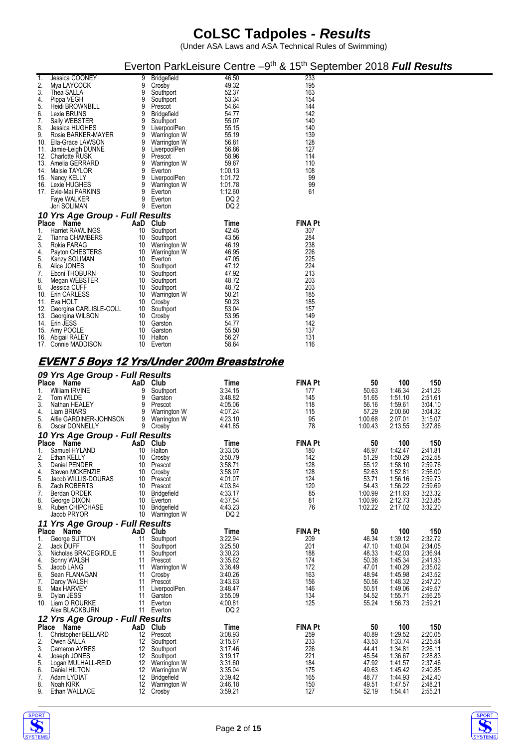|                                                      |          |                               |                    | Everton ParkLeisure Centre -9 <sup>th</sup> & 15 <sup>th</sup> September 2018 Full Results |                    |                    |                    |
|------------------------------------------------------|----------|-------------------------------|--------------------|--------------------------------------------------------------------------------------------|--------------------|--------------------|--------------------|
| Jessica COONEY<br>1.                                 | 9        | Bridgefield                   | 46.50              | 233                                                                                        |                    |                    |                    |
| 2.<br>Mya LAYCOCK<br>3.<br>Thea SALLA                | 9<br>9   | Crosby<br>Southport           | 49.32<br>52.37     | 195<br>163                                                                                 |                    |                    |                    |
| 4.<br>Pippa VEGH                                     | 9        | Southport                     | 53.34              | 154                                                                                        |                    |                    |                    |
| 5.<br>Heidi BROWNBILL<br>6.<br>Lexie BRUNS           | 9<br>9   | Prescot<br><b>Bridgefield</b> | 54.64<br>54.77     | 144<br>142                                                                                 |                    |                    |                    |
| 7.<br>Sally WEBSTER                                  | 9        | Southport                     | 55.07              | 140                                                                                        |                    |                    |                    |
| 8.<br>Jessica HUGHES<br>9.<br>Rosie BARKER-MAYER     | 9<br>9   | LiverpoolPen<br>Warrington W  | 55.15<br>55.19     | 140<br>139                                                                                 |                    |                    |                    |
| Ella-Grace LAWSON<br>10.                             | 9        | Warrington W                  | 56.81              | 128                                                                                        |                    |                    |                    |
| 11. Jamie-Leigh DUNNE<br>12. Charlotte RUSK          | 9<br>9   | LiverpoolPen<br>Prescot       | 56.86<br>58.96     | 127<br>114                                                                                 |                    |                    |                    |
| 13. Amelia GERRARD                                   | 9        | Warrington W                  | 59.67              | 110                                                                                        |                    |                    |                    |
| 14. Maisie TAYLOR<br>15. Nancy KELLY                 | 9<br>9   | Everton<br>LiverpoolPen       | 1:00.13<br>1:01.72 | 108<br>99                                                                                  |                    |                    |                    |
| 16. Lexie HUGHES                                     | 9        | Warrington W                  | 1:01.78            | 99                                                                                         |                    |                    |                    |
| 17. Evie-Mai PARKINS<br>Faye WALKER                  | 9<br>9   | Everton<br>Everton            | 1:12.60<br>DQ 2    | 61                                                                                         |                    |                    |                    |
| Jori SOLIMAN                                         | 9        | Everton                       | DQ 2               |                                                                                            |                    |                    |                    |
| 10 Yrs Age Group - Full Results                      |          |                               |                    |                                                                                            |                    |                    |                    |
| Place Name<br>1.<br><b>Harriet RAWLINGS</b>          |          | AaD Club<br>10 Southport      | Time<br>42.45      | FINA Pt<br>307                                                                             |                    |                    |                    |
| 2.<br>Tianna CHAMBERS                                | 10       | Southport                     | 43.56              | 284                                                                                        |                    |                    |                    |
| 3.<br>Rokia FARAG<br>4.<br>Payton CHESTERS           | 10<br>10 | Warrington W<br>Warrington W  | 46.19<br>46.95     | 238<br>226                                                                                 |                    |                    |                    |
| 5.<br>Kanzy SOLIMAN                                  | 10       | Everton                       | 47.05              | 225                                                                                        |                    |                    |                    |
| 6.<br>Alice JONES<br>7.<br>Eboni THOBURN             | 10<br>10 | Southport<br>Southport        | 47.12<br>47.92     | 224<br>213                                                                                 |                    |                    |                    |
| 8.<br>Megan WEBSTER                                  | 10       | Southport                     | 48.72              | 203                                                                                        |                    |                    |                    |
| 8.<br>Jessica CUFF<br>10. Erin CARLESS               | 10<br>10 | Southport<br>Warrington W     | 48.72<br>50.21     | 203<br>185                                                                                 |                    |                    |                    |
| 11. Eva HOLT                                         | 10       | Crosby                        | 50.23              | 185                                                                                        |                    |                    |                    |
| 12. Georgina CARLISLE-COLL                           | 10       | Southport                     | 53.04              | 157<br>149                                                                                 |                    |                    |                    |
| 13. Georgina WILSON<br>14. Erin JESS                 | 10       | 10 Crosby<br>Garston          | 53.95<br>54.77     | 142                                                                                        |                    |                    |                    |
| 15. Amy POOLE                                        | 10       | Garston                       | 55.50<br>56.27     | 137<br>131                                                                                 |                    |                    |                    |
| 16. Abigail RALEY<br>17. Connie MADDISON             | 10       | Halton<br>10 Everton          | 58.64              | 116                                                                                        |                    |                    |                    |
| <u>EVENT 5 Boys 12 Yrs/Under 200m Breaststroke</u>   |          |                               |                    |                                                                                            |                    |                    |                    |
| 09 Yrs Age Group - Full Results                      |          |                               |                    |                                                                                            |                    |                    |                    |
| Place Name                                           |          | AaD Club                      | Time               | <b>FINA Pt</b>                                                                             | 50                 | 100                | 150                |
| William IRVINE<br>1.<br>2.<br>Tom WILDE              | 9<br>9   | Southport<br>Garston          | 3:34.15<br>3.48.82 | 177<br>145                                                                                 | 50.63              | 1.46.34            | 2:41.26<br>2:51.61 |
|                                                      |          |                               |                    |                                                                                            |                    |                    |                    |
| 3.<br>Nathan HEALEY                                  | 9        | Prescot                       | 4:05.06            | 118                                                                                        | 51.65<br>56.16     | 1:51.10<br>1.59.61 | 3:04.10            |
| Liam BRIARS<br>4.                                    | 9        | Warrington W                  | 4:07.24            | 115                                                                                        | 57.29              | 2:00.60            | 3:04.32            |
| 5.<br>Alfie GARDINER-JOHNSON<br>Oscar DONNELLY<br>6. | 9        | Warrington W<br>9 Crosby      | 4:23.10<br>4:41.85 | 95<br>78                                                                                   | 1:00.68<br>1:00.43 | 2:07.01<br>2:13.55 | 3:15.07<br>3:27.86 |
| 10 Yrs Age Group - Full Results                      |          |                               |                    |                                                                                            |                    |                    |                    |
| Place Name                                           |          | AaD Club                      | Time               | <b>FINA Pt</b>                                                                             | 50                 | 100                | 150                |
| 1.<br>Samuel HYLAND<br>Ethan KELLY                   | 10       | Halton<br>10 Crosby           | 3:33.05<br>3:50.79 | 180<br>142                                                                                 | 46.97<br>51.29     | 1:42.47<br>1:50.29 | 2:41.81<br>2:52.58 |
| 3.<br>Daniel PENDER                                  | 10       | Prescot                       | 3:58.71            | 128                                                                                        | 55.12              | 1.58.10            | 2:59.76            |
| 4.<br>Steven MCKENZIE<br>5.<br>Jacob WILLIS-DOURAS   | 10<br>10 | Crosby<br>Prescot             | 3:58.97<br>4:01.07 | 128<br>124                                                                                 | 52.63<br>53.71     | 1:52.81<br>1:56.16 | 2:56.00<br>2:59.73 |
| 6.<br>Zach ROBERTS                                   | 10       | Prescot                       | 4:03.84            | 120                                                                                        | 54.43              | 1:56.22            | 2:59.69            |
| 7.<br>Berdan ORDEK<br>8.<br>George DIXON             | 10       | Bridgefield<br>10 Everton     | 4:33.17<br>4:37.54 | 85<br>81                                                                                   | 1:00.99<br>1:00.96 | 2:11.63<br>2:12.73 | 3:23.32<br>3:23.85 |
| 9.<br>Ruben CHIPCHASE                                |          | 10 Bridgefield                | 4.43.23            | 76                                                                                         | 1:02.22            | 2:17.02            | 3:32.20            |
| Jacob PRYOR<br>11 Yrs Age Group - Full Results       | 10       | Warrington W                  | DQ <sub>2</sub>    |                                                                                            |                    |                    |                    |
| Place Name                                           |          | AaD Club                      | Time               | <b>FINA Pt</b>                                                                             | 50                 | 100                | 150                |
| George SUTTON<br>1.<br>2.<br>Jack DUFF               | 11<br>11 | Southport<br>Southport        | 3:22.94<br>3:25.50 | 209<br>201                                                                                 | 46.34<br>47.10     | 1.39.12<br>1.40.04 | 2:32.72<br>2:34.05 |
| 3.<br>Nicholas BRACEGIRDLE                           | 11       | Southport                     | 3:30.23            | 188                                                                                        | 48.33              | 1.42.03            | 2:36.94            |
| 4.<br>Sonny WALSH<br>5.<br>Jacob LANG                | 11<br>11 | Prescot<br>Warrington W       | 3:35.62<br>3:36.49 | 174<br>172                                                                                 | 50.38<br>47.01     | 1:45.34<br>1.40.29 | 2:41.93<br>2:35.02 |
| 6.<br>Sean FLANAGAN                                  | 11       | Crosby                        | 3:40.26            | 163                                                                                        | 48.94              | 1.45.98            | 2:43.52            |
| 7.<br>Darcy WALSH<br>8.<br>Max HARVEY                | 11<br>11 | Prescot                       | 3:43.63<br>3:48.47 | 156<br>146                                                                                 | 50.56<br>50.51     | 1:48.32<br>1.49.06 | 2:47.20<br>2:49.57 |
| 9.<br>Dylan JESS                                     | 11       | LiverpoolPen<br>Garston       | 3:55.09            | 134                                                                                        | 54.52              | 1:55.71            | 2:56.25            |
| 10. Liam O ROURKE<br>Alex BLACKBURN                  | 11<br>11 | Everton<br>Everton            | 4:00.81<br>DQ 2    | 125                                                                                        | 55.24              | 1.56.73            | 2:59.21            |
| 12 Yrs Age Group - Full Results                      |          |                               |                    |                                                                                            |                    |                    |                    |
| Place Name<br><b>Christopher BELLARD</b><br>1.       |          | AaD Club<br>12 Prescot        | Time<br>3:08.93    | <b>FINA Pt</b><br>259                                                                      | 50<br>40.89        | 100<br>1:29.52     | 150<br>2:20.05     |
| 2.<br>Owen SALLA                                     | 12       | Southport                     | 3:15.67            | 233                                                                                        | 43.53              | 1:33.74            | 2:25.54            |
| 3.<br>Cameron AYRES<br>4.<br>Joseph JONES            | 12<br>12 | Southport<br>Southport        | 3:17.46<br>3:19.17 | 226<br>221                                                                                 | 44.41<br>45.54     | 1:34.81<br>1:36.67 | 2:26.11<br>2:28.83 |
| 5.<br>Logan MULHALL-REID                             | 12       | Warrington W                  | 3:31.60            | 184                                                                                        | 47.92              | 1:41.57            | 2:37.46            |
| 6.<br>Daniel HILTON<br>7.<br>Adam LYDIAT             | 12<br>12 | Warrington W<br>Bridgefield   | 3:35.04<br>3:39.42 | 175<br>165                                                                                 | 49.63<br>48.77     | 1:45.42<br>1.44.93 | 2:40.85<br>2:42.40 |
| 8.<br>Noah KIRK<br>9.<br>Ethan WALLACE               | 12<br>12 | Warrington W<br>Crosby        | 3:46.18<br>3:59.21 | 150<br>127                                                                                 | 49.51<br>52.19     | 1:47.57<br>1.54.41 | 2:48.21<br>2:55.21 |



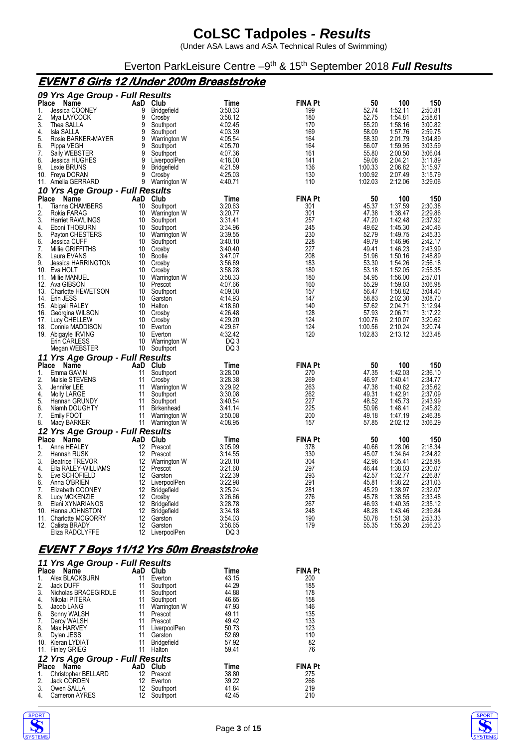(Under ASA Laws and ASA Technical Rules of Swimming)

Everton ParkLeisure Centre -9<sup>th</sup> & 15<sup>th</sup> September 2018 Full Results

#### **EVENT 6 Girls 12 /Under 200m Breaststroke**

|                                                | 09 Yrs Age Group - Full Results |           |                                    |                                                |                       |                  |                    |                    |
|------------------------------------------------|---------------------------------|-----------|------------------------------------|------------------------------------------------|-----------------------|------------------|--------------------|--------------------|
| Place<br>Name                                  |                                 |           | AaD Club                           | Time                                           | <b>FINA Pt</b>        | 50               | 100                | 150                |
| 1.<br>Jessica COONEY                           |                                 | 9<br>9    | <b>Bridgefield</b>                 | 3.50.33                                        | 199                   | 52.74<br>52.75   | 1:52.11            | 2:50.81<br>2:58.61 |
| 2.<br>Mya LAYCOCK<br>3.<br>Thea SALLA          |                                 | 9         | Crosby<br>Southport                | 3:58.12<br>4:02.45                             | 180<br>170            | 55.20            | 1:54.81<br>1.58.16 | 3:00.82            |
| 4.<br>Isla SALLA                               |                                 | 9         | Southport                          | 4:03.39                                        | 169                   | 58.09            | 1:57.76            | 2:59.75            |
| 5.                                             | Rosie BARKER-MAYER              | 9         | Warrington W                       | 4:05.54                                        | 164                   | 58.30            | 2:01.79            | 3:04.89            |
| 6.<br>Pippa VEGH                               |                                 | 9         | Southport                          | 4:05.70                                        | 164                   | 56.07            | 1.59.95            | 3:03.59            |
| 7.<br>Sally WEBSTER                            |                                 | 9         | Southport                          | 4:07.36                                        | 161                   | 55.80            | 2:00.50            | 3:06.04            |
| 8.<br>Jessica HUGHES<br>9.<br>Lexie BRUNS      |                                 | 9<br>9    | LiverpoolPen<br><b>Bridgefield</b> | 4.18.00<br>4:21.59                             | 141<br>136            | 59.08<br>1:00.33 | 2:04.21<br>2:06.82 | 3:11.89<br>3:15.97 |
| 10. Freya DORAN                                |                                 | 9         | Crosby                             | 4.25.03                                        | 130                   | 1:00.92          | 2:07.49            | 3:15.79            |
| 11. Amelia GERRARD                             |                                 | 9         | Warrington W                       | 4 40 71                                        | 110                   | 1:02.03          | 2:12.06            | 3:29.06            |
|                                                | 10 Yrs Age Group - Full Results |           |                                    |                                                |                       |                  |                    |                    |
| <b>Place</b><br>Name                           |                                 |           | AaD Club                           | Time                                           | <b>FINA Pt</b>        | 50               | 100                | 150                |
| 1.<br><b>Tianna CHAMBERS</b>                   |                                 | 10        | Southport                          | 3:20.63                                        | 301                   | 45.37            | 1.37.59            | 2:30.38            |
| 2.<br>Rokia FARAG<br>3.                        |                                 | 10        | Warrington W                       | 3:20.77                                        | 301                   | 47.38            | 1:38.47            | 2:29.86<br>2:37.92 |
| <b>Harriet RAWLINGS</b><br>4.<br>Eboni THOBURN |                                 | 10<br>10  | Southport<br>Southport             | 3:31.41<br>3.34.96                             | 257<br>245            | 47.20<br>49.62   | 1.42.48<br>1.45.30 | 2:40.46            |
| 5.<br>Payton CHESTERS                          |                                 | 10        | Warrington W                       | 3:39.55                                        | 230                   | 52.79            | 1:49.75            | 2:45.33            |
| 6.<br>Jessica CUFF                             |                                 | 10        | Southport                          | 3.40.10                                        | 228                   | 49.79            | 1.46.96            | 2:42.17            |
| 7.<br>Millie GRIFFITHS                         |                                 | 10        | Crosby                             | 3.40.40                                        | 227                   | 49.41            | 1.46.23            | 2:43.99            |
| 8.<br>Laura EVANS<br>9.                        |                                 | 10        | Bootle                             | 3:47.07                                        | 208                   | 51.96            | 1:50.16            | 2:48.89            |
| 10. Eva HOLT                                   | Jessica HARRINGTON              | 10<br>10  | Crosby<br>Crosby                   | 3.56.69<br>3.58.28                             | 183<br>180            | 53.30<br>53.18   | 1.54.26<br>1:52.05 | 2:56.18<br>2:55.35 |
| 11. Millie MANUEL                              |                                 | 10        | Warrington W                       | 3.58.33                                        | 180                   | 54.95            | 1:56.00            | 2:57.01            |
| 12. Ava GIBSON                                 |                                 | 10        | Prescot                            | 4:07.66                                        | 160                   | 55.29            | 1:59.03            | 3:06.98            |
| 13. Charlotte HEWETSON                         |                                 | 10        | Southport                          | 4.09.08                                        | 157                   | 56.47            | 1:58.82            | 3:04.40            |
| 14. Erin JESS                                  |                                 | 10        | Garston                            | 4:14.93                                        | 147                   | 58.83            | 2:02.30            | 3:08.70            |
| 15. Abigail RALEY<br>16. Georgina WILSON       |                                 | 10<br>10  | Halton<br>Crosby                   | 4:18.60<br>4.26.48                             | 140<br>128            | 57.62<br>57.93   | 2:04.71<br>2:06.71 | 3:12.94<br>3:17.22 |
| 17. Lucy CHELLEW                               |                                 | 10        | Crosby                             | 4:29.20                                        | 124                   | 1:00.76          | 2:10.07            | 3:20.62            |
| 18. Connie MADDISON                            |                                 | 10        | Everton                            | 4.29.67                                        | 124                   | 1:00.56          | 2:10.24            | 3:20.74            |
| 19. Abigayle IRVING                            |                                 |           | 10 Everton                         | 4:32.42                                        | 120                   | 1:02.83          | 2:13.12            | 3:23.48            |
| Erin CARLESS                                   |                                 | 10        | Warrington W                       | DQ 3                                           |                       |                  |                    |                    |
| Megan WEBSTER                                  |                                 | 10        | Southport                          | DQ 3                                           |                       |                  |                    |                    |
|                                                | 11 Yrs Age Group - Full Results |           |                                    |                                                |                       |                  |                    |                    |
| Place<br>Name<br>Emma GAVIN<br>1.              |                                 | AaD<br>11 | Club<br>Southport                  | Time<br>3.28.00                                | <b>FINA Pt</b><br>270 | 50<br>47.35      | 100<br>1:42.03     | 150<br>2:36.10     |
| 2.<br>Maisie STEVENS                           |                                 | 11        | Crosby                             | 3:28.38                                        | 269                   | 46.97            | 1.40.41            | 2:34.77            |
| 3.<br>Jennifer LEE                             |                                 | 11        | Warrington W                       | 3:29.92                                        | 263                   | 47.38            | 1.40.62            | 2:35.62            |
| 4.<br>Molly LARGE                              |                                 | 11        | Southport                          | 3.30.08                                        | 262                   | 49.31            | 1:42.91            | 2:37.09            |
| 5.<br>Hannah GRUNDY<br>6.                      |                                 | 11        | Southport                          | 3:40.54<br>3:41.14                             | 227<br>225            | 48.52            | 1:45.73            | 2:43.99            |
| Niamh DOUGHTY<br>7.<br><b>Emily FOOT</b>       |                                 | 11<br>11  | <b>Birkenhead</b><br>Warrington W  | 3.50.08                                        | 200                   | 50.96<br>49.18   | 1.48.41<br>1.47.19 | 2:45.82<br>2:46.38 |
| 8.<br>Macy BARKER                              |                                 |           | 11 Warrington W                    | 4.08.95                                        | 157                   | 57.85            | 2:02.12            | 3:06.29            |
|                                                | 12 Yrs Age Group - Full Results |           |                                    |                                                |                       |                  |                    |                    |
| <b>Place</b><br>Name                           |                                 |           | AaD Club                           | Time                                           | <b>FINA Pt</b>        | 50               | 100                | 150                |
| Anna HEALEY<br>1.                              |                                 |           | 12 Prescot                         | 3.05.99                                        | 378                   | 40.66            | 1:28.06            | 2:18.34            |
| 2.<br>Hannah RUSK                              |                                 | 12        | Prescot                            | 3.14.55                                        | 330                   | 45.07            | 1.34.64            | 2:24.82            |
| 3.<br><b>Beatrice TREVOR</b><br>4.             | Ella RALEY-WILLIAMS             | 12<br>12  | Warrington W<br>Prescot            | 3:20.10<br>3:21.60                             | 304<br>297            | 42.96<br>46.44   | 1:35.41<br>1:38.03 | 2:28.98<br>2:30.07 |
| 5.<br>Eve SCHOFIELD                            |                                 | 12        | Garston                            | 3:22.39                                        | 293                   | 42.57            | 1:32.77            | 2:26.87            |
| 6.<br>Anna O'BRIEN                             |                                 | 12        | LiverpoolPen                       | 3:22.98                                        | 291                   | 45.81            | 1.38.22            | 2:31.03            |
| Elizabeth COONEY<br>7.                         |                                 |           | 12 Bridgefield                     | 3:25.24                                        | 281                   | 45.29            | 1:38.97            | 2:32.07            |
| 8.<br>Lucy MCKENZIE                            |                                 | 12        | Crosby                             | 3:26.66                                        | 276                   | 45.78            | 1:38.55            | 2:33.48            |
| 9.<br>Eleni XYNARIANOS<br>10. Hanna JOHNSTON   |                                 | 12        | Bridgefield<br>12 Bridgefield      | 3:28.78<br>3:34.18                             | 267<br>248            | 46.93<br>48.28   | 1:40.35<br>1.43.46 | 2:35.12<br>2:39.84 |
| 11. Charlotte MCGORRY                          |                                 |           | 12 Garston                         | 3.54.03                                        | 190                   | 50.78            | 1.51.38            | 2:53.33            |
| 12. Calista BRADY                              |                                 |           | 12 Garston                         | 3:58.65                                        | 179                   | 55.35            | 1:55.20            | 2:56.23            |
| Eliza RADCLYFFE                                |                                 | 12        | LiverpoolPen                       | DQ 3                                           |                       |                  |                    |                    |
|                                                |                                 |           |                                    |                                                |                       |                  |                    |                    |
|                                                |                                 |           |                                    | <u>EVENT 7 Boys 11/12 Yrs 50m Breaststroke</u> |                       |                  |                    |                    |
|                                                | 11 Yrs Age Group - Full Results |           |                                    |                                                |                       |                  |                    |                    |
| Place Name                                     |                                 |           | AaD Club                           | Time                                           | <b>FINA Pt</b>        |                  |                    |                    |
| Alex BLACKBURN<br>1.                           |                                 |           | 11 Everton                         | 43.15                                          | 200                   |                  |                    |                    |
| 2.<br>Jack DUFF                                |                                 |           | 11 Southport                       | 44.29                                          | 185                   |                  |                    |                    |
| 3.                                             | Nicholas BRACEGIRDLE            | 11        | Southport                          | 44.88                                          | 178                   |                  |                    |                    |
| 4.<br>Nikolai PITERA                           |                                 | 11        | Southport                          | 46.65                                          | 158                   |                  |                    |                    |
| 5.<br>Jacob LANG<br>6.<br>Sonny WALSH          |                                 | 11        | 11 Warrington W<br>Prescot         | 47.93<br>49.11                                 | 146<br>135            |                  |                    |                    |
| 7.<br>Darcy WALSH                              |                                 | 11        | Prescot                            | 49.42                                          | 133                   |                  |                    |                    |
| 8.<br>Max HARVEY                               |                                 | 11        | LiverpoolPen                       | 50.73                                          | 123                   |                  |                    |                    |
| 9.<br>Dylan JESS                               |                                 | 11        | Garston                            | 52.69                                          | 110                   |                  |                    |                    |
| 10. Kieran LYDIAT<br>11. Finley GRIEG          |                                 | 11<br>11  | Bridgefield<br>Halton              | 57.92<br>59.41                                 | 82<br>76              |                  |                    |                    |
|                                                |                                 |           |                                    |                                                |                       |                  |                    |                    |



**Place Name AaD Club Time FINA Pt** 1. Christopher BELLARD 12 Prescot 38.80 275 2. Jack CORDEN 12 Everton 39.22 266 1. Christopher BELLARD 12 Prescot 38.80 275<br>
2. Jack CORDEN 12 Everton 39.22 266<br>
3. Owen SALLA 12 Southport 41.84 219<br>
4. Cameron AYRES 12 Southport 42.45 210

*12 Yrs Age Group - Full Results*

Cameron AYRES

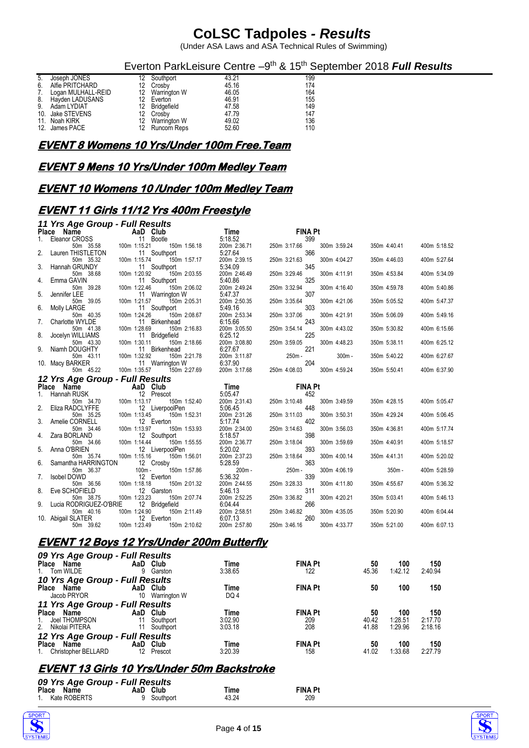(Under ASA Laws and ASA Technical Rules of Swimming)

Everton ParkLeisure Centre -9<sup>th</sup> & 15<sup>th</sup> September 2018 Full Results

| 5. | Joseph JONES       | 12 Southport    | 43.21 | 199 |
|----|--------------------|-----------------|-------|-----|
| 6. | Alfie PRITCHARD    | 12 Crosby       | 45.16 | 174 |
| 7. | Logan MULHALL-REID | 12 Warrington W | 46.05 | 164 |
|    | 8. Hayden LADUSANS | 12 Everton      | 46.91 | 155 |
| 9. | Adam LYDIAT        | 12 Bridgefield  | 47.58 | 149 |
|    | 10. Jake STEVENS   | 12 Crosby       | 47.79 | 147 |
|    | 11. Noah KIRK      | 12 Warrington W | 49.02 | 136 |
|    | 12. James PACE     | 12 Runcorn Reps | 52.60 | 110 |
|    |                    |                 |       |     |

#### **EVENT 8 Womens 10 Yrs/Under 100m Free.Team**

#### **EVENT 9 Mens 10 Yrs/Under 100m Medley Team**

#### **EVENT 10 Womens 10 /Under 100m Medley Team**

#### **EVENT 11 Girls 11/12 Yrs 400m Freestyle**

|    | 11 Yrs Age Group - Full Results          |                                                 |                         |                                     |              |              |
|----|------------------------------------------|-------------------------------------------------|-------------------------|-------------------------------------|--------------|--------------|
|    | Place Name<br>1. Eleanor CROSS 11 Bootle |                                                 | Time                    | <b>FINA Pt</b>                      |              |              |
|    |                                          | 11 Bootle                                       | 5:18.52                 | 399                                 |              |              |
|    | 50m 35.58                                | 100m 1:15.21<br>150m 1:56.18                    | 200m 2:36.71            | 250m 3:17.66<br>300m 3:59.24        | 350m 4:40.41 | 400m 5:18.52 |
| 2. | Lauren THISTLETON                        | 11 Southport                                    | 5:27.64                 | 366                                 |              |              |
|    | 50m 35.32                                | 100m 1:15.74<br>150m 1:57.17                    | 200m 2:39.15            | 250m 3:21.63<br>300m 4:04.27        | 350m 4:46.03 | 400m 5:27.64 |
|    | 3. Hannah GRUNDY                         | 11 Southport                                    | 5:34.09                 | 345                                 |              |              |
|    | 50m 38.68                                | 100m 1:20.92<br>150m 2:03.55                    | 200m 2:46.49            | 250m 3:29.46<br>300m 4:11.91        | 350m 4:53.84 | 400m 5:34.09 |
| 4. | Emma GAVIN                               | 11 Southport                                    | 5:40.86                 | 325                                 |              |              |
|    | 50m 39.28                                | 150m 2:06.02<br>100m 1:22.46                    | 200m 2:49.24            | 250m 3:32.94<br>300m 4:16.40        | 350m 4:59.78 | 400m 5:40.86 |
| 5. | Jennifer LEE                             | 11 Warrington W                                 | 5:47.37                 | 307                                 |              |              |
|    | 50m 39.05                                | 100m 1:21.57<br>150m 2:05.31                    | 200m 2:50.35            | 250m 3:35.64<br>300m 4:21.06        | 350m 5:05.52 | 400m 5:47.37 |
| 6. | Molly LARGE                              | 11 Southport                                    | 5:49.16                 | 303                                 |              |              |
|    | 50m 40.35                                | 100m 1:24.26<br>150m 2:08.67                    | 200m 2:53.34            | 250m 3:37.06<br>300m 4:21.91        | 350m 5:06.09 | 400m 5:49.16 |
| 7. | Charlotte WYLDE                          | 11 Birkenhead                                   | 6:15.66                 | 243                                 |              |              |
|    | 50m 41.38                                | 150m 2:16.83<br>100m 1:28.69                    | 200m 3:05.50            | 250m 3:54.14<br>300m 4:43.02        | 350m 5:30.82 | 400m 6:15.66 |
| 8. | Jocelyn WILLIAMS                         | 11 Bridgefield                                  | 6:25.12                 | 225                                 |              |              |
|    | 50m 43.30                                | 100m 1:30.11<br>150m 2:18.66                    | 200m 3:08.80            | 300m 4:48.23<br>250m 3:59.05<br>221 | 350m 5:38.11 | 400m 6:25.12 |
|    | 9. Niamh DOUGHTY                         | 11 Birkenhead<br>150m 2:21.78                   | 6:27.67                 | 250m -<br>$300m -$                  |              |              |
|    | 50m 43.11                                | 100m 1:32.92                                    | 200m 3:11.87<br>6:37.90 | 204                                 | 350m 5:40.22 | 400m 6:27.67 |
|    | 10. Macy BARKER<br>50m 45.22             | 11 Warrington W<br>100m 1:35.57<br>150m 2:27.69 | 200m 3:17.68            | 250m 4:08.03<br>300m 4:59.24        |              | 400m 6:37.90 |
|    |                                          |                                                 |                         |                                     | 350m 5:50.41 |              |
|    | 12 Yrs Age Group - Full Results          |                                                 |                         |                                     |              |              |
|    | Place Name                               | AaD Club<br>12 Press                            | Time                    | <b>FINA Pt</b>                      |              |              |
|    | 1. Hannah RUSK                           | 12 Prescot                                      | 5:05.47                 | 452                                 |              |              |
|    | 50m 34.70                                | 100m 1:13.17<br>150m 1:52.40                    | 200m 2:31.43            | 250m 3:10.48<br>300m 3:49.59        | 350m 4:28.15 | 400m 5:05.47 |
| 2. | Eliza RADCLYFFE                          | 12 LiverpoolPen                                 | 5:06.45                 | 448                                 |              |              |
|    | 50m 35.25                                | 100m 1:13.45<br>150m 1:52.31                    | 200m 2:31.26            | 250m 3:11.03<br>300m 3:50.31        | 350m 4:29.24 | 400m 5:06.45 |
| 3. | Amelie CORNELL                           | 12 Everton                                      | 5:17.74                 | 402                                 |              |              |
|    | 50m 34.46                                | 100m 1:13.97<br>150m 1:53.93                    | 200m 2:34.00<br>5:18.57 | 250m 3:14.63<br>300m 3:56.03<br>398 | 350m 4:36.81 | 400m 5:17.74 |
|    | 4. Zara BORLAND<br>50m 34.66             | 12 Southport<br>100m 1:14.44                    |                         |                                     |              |              |
| 5. | Anna O'BRIEN                             | 150m 1:55.55<br>12 LiverpoolPen                 | 200m 2:36.77<br>5:20.02 | 250m 3:18.04<br>300m 3:59.69<br>393 | 350m 4:40.91 | 400m 5:18.57 |
|    | 50m 35.74                                | 100m 1:15.16<br>150m 1:56.01                    | 200m 2:37.23            | 300m 4:00.14<br>250m 3:18.64        | 350m 4:41.31 | 400m 5:20.02 |
| 6. | Samantha HARRINGTON                      | 12 Crosby                                       | 5:28.59                 | 363                                 |              |              |
|    | 50m 36.37                                | $100m -$<br>150m 1:57.86                        | 200m-                   | 250m -<br>300m 4:06.19              | $350m -$     | 400m 5:28.59 |
| 7. | Isobel DOWD                              | 12 Everton                                      | 5:36.32                 | 339                                 |              |              |
|    | 50m 36.56                                | 150m 2:01.32<br>100m 1:18.18                    | 200m 2:44.55            | 250m 3:28.33<br>300m 4:11.80        | 350m 4:55.67 | 400m 5:36.32 |
| 8. | Eve SCHOFIELD                            | 12 Garston                                      | 5:46.13                 | 311                                 |              |              |
|    | 50m 38.75                                | 150m 2:07.74<br>100m 1:23.23                    | 200m 2:52.25            | 250m 3:36.82<br>300m 4:20.21        | 350m 5:03.41 | 400m 5:46.13 |
|    | 9. Lucia RODRIGUEZ-O'BRIE                | 12 Bridgefield                                  | 6:04:44                 | 266                                 |              |              |
|    | 50m 40.16                                | 100m 1:24.90<br>150m 2:11.49                    | 200m 2:58.51            | 250m 3:46.82<br>300m 4:35.05        | 350m 5:20.90 | 400m 6:04.44 |
|    | <b>Common</b><br>10. Abigail SLATER      | 12 Everton                                      | 6:07.13                 | 260                                 |              |              |
|    | 50m 39.62                                | 100m 1:23.49<br>150m 2:10.62                    | 200m 2:57.80            | 250m 3:46.16<br>300m 4:33.77        | 350m 5:21.00 | 400m 6:07.13 |
|    |                                          |                                                 |                         |                                     |              |              |

#### **EVENT 12 Boys 12 Yrs/Under 200m Butterfly**

| 09 Yrs Age Group - Full Results |     |              |         |                |       |         |         |
|---------------------------------|-----|--------------|---------|----------------|-------|---------|---------|
| Place Name                      |     | AaD Club     | Time    | <b>FINA Pt</b> | 50    | 100     | 150     |
| 1. Tom WILDE                    | 9   | Garston      | 3:38.65 | 122            | 45.36 | 1:42.12 | 2:40.94 |
| 10 Yrs Age Group - Full Results |     |              |         |                |       |         |         |
| Place Name                      |     | AaD Club     | Time    | <b>FINA Pt</b> | 50    | 100     | 150     |
| Jacob PRYOR                     | 10  | Warrington W | DQ 4    |                |       |         |         |
| 11 Yrs Age Group - Full Results |     |              |         |                |       |         |         |
| Place Name                      |     | AaD Club     | Time    | <b>FINA Pt</b> | 50    | 100     | 150     |
| Joel THOMPSON<br>1.             | 11  | Southport    | 3.02.90 | 209            | 40.42 | 1:28.51 | 2:17.70 |
| 2. Nikolai PITERA               | 11  | Southport    | 3:03.18 | 208            | 41.88 | 1.29.96 | 2:18.16 |
| 12 Yrs Age Group - Full Results |     |              |         |                |       |         |         |
| Place<br>Name                   | AaD | Club         | Time    | <b>FINA Pt</b> | 50    | 100     | 150     |
| 1. Christopher BELLARD          | 12  | Prescot      | 3.20.39 | 158            | 41.02 | 1:33.68 | 2:27.79 |

### **EVENT 13 Girls 10 Yrs/Under 50m Backstroke**

| 09 Yrs Age Group - Full Results |             |       |                |
|---------------------------------|-------------|-------|----------------|
| Place Name                      | AaD Club    | Time  | <b>FINA Pt</b> |
| 1. Kate ROBERTS                 | 9 Southport | 43.24 | 209            |



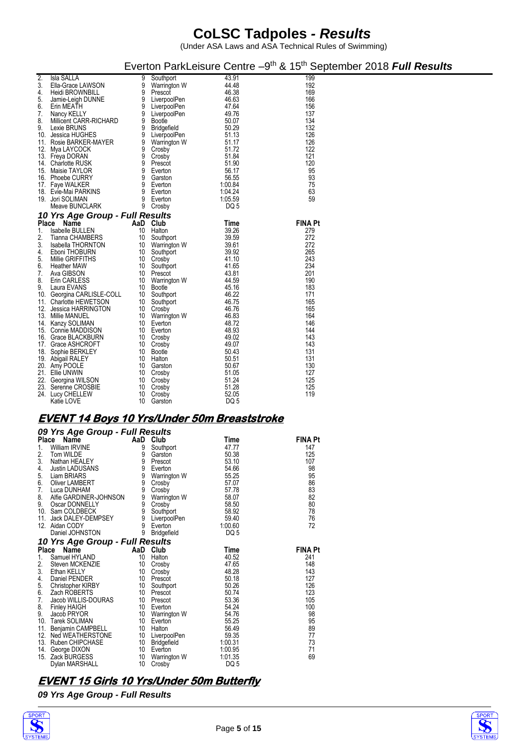(Under ASA Laws and ASA Technical Rules of Swimming)

|              |                                        |        |                           |                 | Everton ParkLeisure Centre -9 <sup>th</sup> & 15 <sup>th</sup> September 2018 <b>Full Results</b> |  |
|--------------|----------------------------------------|--------|---------------------------|-----------------|---------------------------------------------------------------------------------------------------|--|
| 2.<br>3.     | <b>Isla SALLA</b><br>Ella-Grace LAWSON | 9<br>9 | Southport<br>Warrington W | 43.91<br>44.48  | 199<br>192                                                                                        |  |
| 4.           | Heidi BROWNBILL                        | 9      | Prescot                   | 46.38           | 169                                                                                               |  |
| 5.           | Jamie-Leigh DUNNE                      | 9      | LiverpoolPen              | 46.63           | 166                                                                                               |  |
| 6.           | Erin MEATH                             | 9      | LiverpoolPen              | 47.64           | 156                                                                                               |  |
| 7.           | Nancy KELLY                            | 9      | LiverpoolPen              | 49.76           | 137                                                                                               |  |
| 8.           | Millicent CARR-RICHARD                 | 9      | <b>Bootle</b>             | 50.07           | 134                                                                                               |  |
| 9.           | Lexie BRUNS                            | 9      | <b>Bridgefield</b>        | 50.29           | 132                                                                                               |  |
| 10.          | Jessica HUGHES                         | 9      | LiverpoolPen              | 51.13           | 126                                                                                               |  |
|              | 11. Rosie BARKER-MAYER                 | 9      | Warrington W              | 51.17           | 126                                                                                               |  |
| 12.          | Mya LAYCOCK                            | 9      | Crosby                    | 51.72           | 122                                                                                               |  |
|              | 13. Freya DORAN                        | 9      | Crosby                    | 51.84           | 121                                                                                               |  |
|              | 14. Charlotte RUSK                     | 9      | Prescot                   | 51.90           | 120                                                                                               |  |
| 15.          | Maisie TAYLOR                          | 9      | Everton                   | 56.17           | 95                                                                                                |  |
|              | 16. Phoebe CURRY                       | 9      | Garston                   | 56.55           | 93                                                                                                |  |
|              | 17. Faye WALKER                        | 9      | Everton                   | 1:00.84         | 75                                                                                                |  |
|              | 18. Evie-Mai PARKINS                   | 9      | Everton                   | 1:04.24         | 63                                                                                                |  |
|              | 19. Jori SOLIMAN                       | 9      | Everton                   | 1:05.59         | 59                                                                                                |  |
|              | Meave BUNCLARK                         | 9      | Crosby                    | DQ <sub>5</sub> |                                                                                                   |  |
|              | 10 Yrs Age Group - Full Results        |        |                           |                 |                                                                                                   |  |
| <b>Place</b> | Name                                   |        | AaD Club                  | Time            | <b>FINA Pt</b>                                                                                    |  |
| 1.           | Isabelle BULLEN                        | 10     | Halton                    | 39.26           | 279                                                                                               |  |
| 2.           | Tianna CHAMBERS                        | 10     | Southport                 | 39.59           | 272                                                                                               |  |
| 3.           | <b>Isabella THORNTON</b>               | 10     | Warrington W              | 39.61           | 272                                                                                               |  |
| 4.           | Eboni THOBURN                          | 10     | Southport                 | 39.92           | 265                                                                                               |  |
| 5.           | Millie GRIFFITHS                       | 10     | Crosby                    | 41.10           | 243                                                                                               |  |
| 6.           | <b>Heather MAW</b>                     | 10     | Southport                 | 41.65           | 234                                                                                               |  |
| 7.           | Ava GIBSON                             | 10     | Prescot                   | 43.81           | 201                                                                                               |  |
| 8.           | Erin CARLESS                           | 10     | Warrington W              | 44.59           | 190                                                                                               |  |
| 9.           | Laura EVANS                            | 10     | <b>Bootle</b>             | 45.16           | 183                                                                                               |  |
|              | 10. Georgina CARLISLE-COLL             | 10     | Southport                 | 46.22           | 171                                                                                               |  |
|              | 11. Charlotte HEWETSON                 | 10     | Southport                 | 46.75           | 165                                                                                               |  |
| 12.          | Jessica HARRINGTON                     | 10     | Crosby                    | 46.76           | 165                                                                                               |  |
| 13.          | Millie MANUEL                          | 10     | Warrington W              | 46.83           | 164                                                                                               |  |
|              | 14. Kanzy SOLIMAN                      | 10     | Everton                   | 48.72           | 146                                                                                               |  |
|              | 15. Connie MADDISON                    | 10     | Everton                   | 48.93           | 144                                                                                               |  |
|              | 16. Grace BLACKBURN                    | 10     | Crosby                    | 49.02           | 143                                                                                               |  |
|              | 17. Grace ASHCROFT                     | 10     | Crosby                    | 49.07           | 143                                                                                               |  |
|              | 18. Sophie BERKLEY                     | 10     | <b>Bootle</b>             | 50.43           | 131                                                                                               |  |
|              | 19. Abigail RALEY                      | 10     | Halton                    | 50.51           | 131                                                                                               |  |
|              | 20. Amy POOLE                          | 10     | Garston                   | 50.67           | 130                                                                                               |  |
|              | 21. Ellie UNWIN                        | 10     | Crosby                    | 51.05           | 127                                                                                               |  |
|              | 22. Georgina WILSON                    | 10     | Crosby                    | 51.24           | 125                                                                                               |  |
| 23.          | Serenne CROSBIE                        | 10     | Crosby                    | 51.28           | 125                                                                                               |  |
|              | 24. Lucy CHELLEW                       | 10     | Crosby                    | 52.05           | 119                                                                                               |  |
|              | Katie LOVE                             | 10     | Garston                   | DQ <sub>5</sub> |                                                                                                   |  |

### **EVENT 14 Boys 10 Yrs/Under 50m Breaststroke**

|       | 09 Yrs Age Group - Full Results                                                                                                                              |          |                        |                         |                |
|-------|--------------------------------------------------------------------------------------------------------------------------------------------------------------|----------|------------------------|-------------------------|----------------|
| Place | Name                                                                                                                                                         |          | AaD Club               | Time                    | <b>FINA Pt</b> |
| 1.    | <b>ce Name</b><br>William IRVINE                                                                                                                             | 9        | Southport              | 47.77                   | 147            |
| 2.    | Tom WILDE<br>Nathan HEALEY<br>Justin LADUSANS<br>Liam PRIARS                                                                                                 | 9        | Garston                | 50.38                   | 125            |
| 3.    |                                                                                                                                                              | 9        | Prescot                | 53.10                   | 107            |
| 4.    |                                                                                                                                                              | 9        | Everton                | 54.66                   | 98             |
| 5.    | Liam BRIARS                                                                                                                                                  | 9        | Warrington W           | 55.25                   | 95             |
| 6.    | Oliver LAMBERT                                                                                                                                               | 9        | Crosby                 | 57.07                   | 86             |
| 7.    | Luca DUNHAM                                                                                                                                                  | 9        | Crosby                 | 57.78                   | 83             |
| 8.    |                                                                                                                                                              |          |                        | 58.07                   | 82             |
| 9.    |                                                                                                                                                              |          |                        | 58.50                   | 80             |
| 10.   |                                                                                                                                                              |          |                        | 58.92                   | 78             |
| 11.   |                                                                                                                                                              |          |                        | 59.40                   | 76             |
| 12.   | Alfie GARDINER-JOHNSON<br>Oscar DONNELLY<br>Sam COLDBECK<br>Jack DALEY-DEMPSEY<br>Jack DALEY-DEMPSEY<br>Aidan CODY<br>Aidan CODY<br>Aidan CODY<br>Aidan CODY |          |                        | 1:00.60                 | 72             |
|       | Daniel JOHNSTON                                                                                                                                              | 9        | <b>Bridgefield</b>     | DQ <sub>5</sub>         |                |
|       | 10 Yrs Age Group - Full Results                                                                                                                              |          |                        |                         |                |
|       |                                                                                                                                                              |          |                        |                         |                |
|       | Place Name                                                                                                                                                   | AaD Club |                        | Time                    | <b>FINA Pt</b> |
| 1.    | Samuel HYLAND                                                                                                                                                | 10       | Halton                 | 40.52                   | 241            |
| 2.    |                                                                                                                                                              | 10       | Crosby                 | 47.65                   | 148            |
| 3.    | Steven MCKENZIE<br>Ethan KELLY                                                                                                                               | 10       | Crosby                 | 48.28                   | 143            |
| 4.    | Daniel PENDER                                                                                                                                                | 10       | Prescot                | 50.18                   | 127            |
| 5.    | Christopher KIRBY                                                                                                                                            | 10       | Southport              | 50.26                   | 126            |
| 6.    | Zach ROBERTS                                                                                                                                                 | 10       | Prescot                |                         | 123            |
| 7.    | Jacob WILLIS-DOURAS                                                                                                                                          | 10       | Prescot                |                         | 105            |
| 8.    | <b>Finley HAIGH</b>                                                                                                                                          | 10       | Everton                | 50.74<br>53.36<br>54.24 | 100            |
| 9.    | Jacob PRYOR                                                                                                                                                  | 10       | Warrington W           | 54.76                   | 98             |
| 10.   | <b>Tarek SOLIMAN</b>                                                                                                                                         | 10       | Everton                | 55.25                   | 95             |
| 11.   | Benjamin CAMPBELL                                                                                                                                            | 10       | Halton                 | 56.49                   | 89             |
| 12.   | Ned WEATHERSTONE                                                                                                                                             | 10       | LiverpoolPen           | 59.35                   | 77             |
|       | 13. Ruben CHIPCHASE                                                                                                                                          | 10       | <b>Bridgefield</b>     | 1:00.31                 | 73             |
| 14.   | George DIXON                                                                                                                                                 | 10       | Everton                | 1:00.95                 | 71             |
| 15.   | Zack BURGESS<br>Dylan MARSHALL                                                                                                                               | 10<br>10 | Warrington W<br>Crosby | 1:01.35<br>DQ 5         | 69             |

### **EVENT 15 Girls 10 Yrs/Under 50m Butterfly**

*09 Yrs Age Group - Full Results*



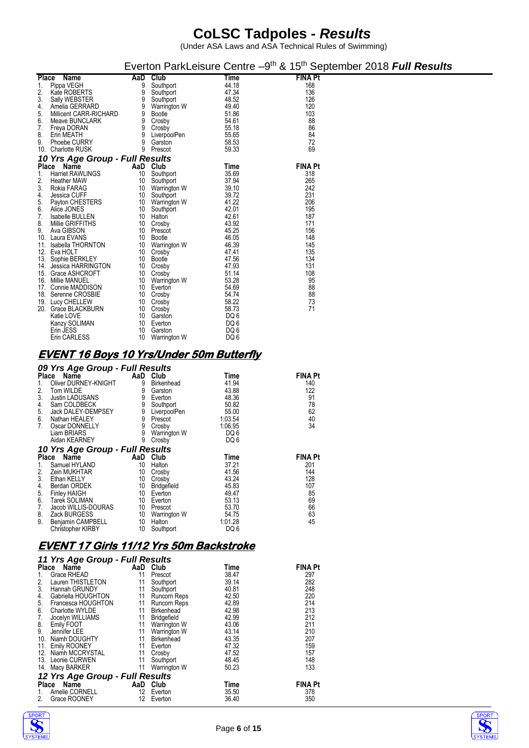(Under ASA Laws and ASA Technical Rules of Swimming)

|              |                                 |     |               |                 |                | Everton ParkLeisure Centre -9 <sup>th</sup> & 15 <sup>th</sup> September 2018 Full Results |
|--------------|---------------------------------|-----|---------------|-----------------|----------------|--------------------------------------------------------------------------------------------|
| <b>Place</b> | Name                            | AaD | <b>Club</b>   | Time            | <b>FINA Pt</b> |                                                                                            |
| 1.           | Pippa VEGH                      | 9   | Southport     | 44.18           | 168            |                                                                                            |
| 2.           | Kate ROBERTS                    | 9   | Southport     | 47.34           | 136            |                                                                                            |
| 3.           | Sally WEBSTER                   | 9   | Southport     | 48.52           | 126            |                                                                                            |
| 4.           | Amelia GERRARD                  | 9   | Warrington W  | 49.40           | 120            |                                                                                            |
| 5.           | Millicent CARR-RICHARD          | 9   | Bootle        | 51.86           | 103            |                                                                                            |
| 6.           | Meave BUNCLARK                  | 9   | Crosby        | 54.61           | 88             |                                                                                            |
| 7.           | Freya DORAN                     | 9   | Crosby        | 55.18           | 86             |                                                                                            |
| 8.           | Erin MEATH                      | 9   | LiverpoolPen  | 55.65           | 84             |                                                                                            |
| 9.           | <b>Phoebe CURRY</b>             | 9   | Garston       | 58.53           | 72             |                                                                                            |
|              | 10. Charlotte RUSK              | 9   | Prescot       | 59.33           | 69             |                                                                                            |
|              | 10 Yrs Age Group - Full Results |     |               |                 |                |                                                                                            |
| Place        | Name                            |     | AaD Club      | Time            | <b>FINA Pt</b> |                                                                                            |
| 1.           | <b>Harriet RAWLINGS</b>         | 10  | Southport     | 35.69           | 318            |                                                                                            |
| 2.           | <b>Heather MAW</b>              | 10  | Southport     | 37.94           | 265            |                                                                                            |
| 3.           | Rokia FARAG                     | 10  | Warrington W  | 39.10           | 242            |                                                                                            |
| 4.           | Jessica CUFF                    | 10  | Southport     | 39.72           | 231            |                                                                                            |
| 5.           | Payton CHESTERS                 | 10  | Warrington W  | 41.22           | 206            |                                                                                            |
| 6.           | Alice JONES                     | 10  | Southport     | 42.01           | 195            |                                                                                            |
| 7.           | Isabelle BULLEN                 | 10  | Halton        | 42.61           | 187            |                                                                                            |
| 8.           | Millie GRIFFITHS                | 10  | Crosby        | 43.92           | 171            |                                                                                            |
| 9.           | Ava GIBSON                      | 10  | Prescot       | 45.25           | 156            |                                                                                            |
| 10.          | Laura EVANS                     | 10  | <b>Bootle</b> | 46.05           | 148            |                                                                                            |
| 11.          | <b>Isabella THORNTON</b>        | 10  | Warrington W  | 46.39           | 145            |                                                                                            |
| 12.          | Eva HOLT                        | 10  | Crosby        | 47.41           | 135            |                                                                                            |
|              | 13. Sophie BERKLEY              | 10  | <b>Bootle</b> | 47.56           | 134            |                                                                                            |
|              | 14. Jessica HARRINGTON          | 10  | Crosby        | 47.93           | 131            |                                                                                            |
|              | 15. Grace ASHCROFT              | 10  | Crosby        | 51.14           | 108            |                                                                                            |
|              | 16. Millie MANUEL               | 10  | Warrington W  | 53.28           | 95             |                                                                                            |
|              | 17. Connie MADDISON             | 10  | Everton       | 54.69           | 88             |                                                                                            |
|              | 18. Serenne CROSBIE             | 10  | Crosby        | 54.74           | 88             |                                                                                            |
|              | 19. Lucy CHELLEW                | 10  | Crosby        | 58.22           | 73             |                                                                                            |
|              | 20. Grace BLACKBURN             | 10  | Crosby        | 58.73           | 71             |                                                                                            |
|              | Katie LOVE                      | 10  | Garston       | DQ 6            |                |                                                                                            |
|              | Kanzy SOLIMAN                   | 10  | Everton       | DQ <sub>6</sub> |                |                                                                                            |
|              | Erin JESS                       | 10  | Garston       | DQ <sub>6</sub> |                |                                                                                            |
|              | Erin CARLESS                    | 10  | Warrington W  | DQ 6            |                |                                                                                            |

#### **EVENT 16 Boys 10 Yrs/Under 50m Butterfly**

#### *09 Yrs Age Group - Full Results*

| <b>Place</b>   | Name                                  | AaD | Club         | Time                       | <b>FINA Pt</b> |
|----------------|---------------------------------------|-----|--------------|----------------------------|----------------|
| 1.             | Oliver DURNEY-KNIGHT                  | 9   | Birkenhead   | 41.94                      | 140            |
| 2.             | Tom WILDE                             | 9   | Garston      | 43.88                      | 122            |
| 3.             | Justin LADUSANS                       | 9   | Everton      | 48.36                      | 91             |
| 4.             | Sam COLDBECK                          | 9   | Southport    | 50.82                      | 78             |
|                | Jack DALEY-DEMPSEY                    | 9   | LiverpoolPen | 55.00                      |                |
|                | 5. Jack DALEY-DEN<br>6. Nathan HEALEY | 9   | Prescot      | 1:03.54                    |                |
| 7.             | Oscar DONNELLY                        | 9   | Crosby       | 1:06.95                    | 62<br>40<br>34 |
|                | Liam BRIARS                           | 9   | Warrington W | DQ 6                       |                |
|                | Aidan KEARNEY                         | 9   | Crosby       | DQ 6                       |                |
|                | 10 Yrs Age Group - Full Results       |     |              |                            |                |
|                |                                       |     |              |                            |                |
|                | Place Name                            |     | AaD Club     | <b>Time</b>                | <b>FINA Pt</b> |
| 1.             | Samuel HYLAND                         | 10  | Halton       | 37.21                      | 201            |
| 2.             | Zein MUKHTAR                          | 10  | Crosby       | 41.56                      | 144            |
|                | Ethan KELLY                           | 10  | Crosby       | 43.24                      | 128            |
| 3.             | Berdan ORDEK                          | 10  | Bridgefield  | 45.83                      | 107            |
| 4.             | Finley HAIGH                          | 10  | Everton      | 49.47                      | 85             |
|                | Tarek SOLIMAN                         | 10  | Everton      | 53.13                      |                |
| 5.<br>6.<br>7. | Jacob WILLIS-DOURAS                   | 10  | Prescot      | 53.70                      | 69             |
|                | Zack BURGESS                          | 10  | Warrington W | 54.75                      | 66<br>63       |
| 8.<br>9.       | Benjamin CAMPBELL                     | 10  | Halton       | 1.01.28<br>DQ <sub>6</sub> | 45             |

### **EVENT 17 Girls 11/12 Yrs 50m Backstroke**

|       | 11 Yrs Age Group - Full Results |                   |                    |       |                |  |  |  |  |  |
|-------|---------------------------------|-------------------|--------------------|-------|----------------|--|--|--|--|--|
|       | Place Name                      |                   | AaD Club           | Time  | <b>FINA Pt</b> |  |  |  |  |  |
|       | Grace RHEAD                     | 11                | Prescot            | 38.47 | 297            |  |  |  |  |  |
| 2.    | Lauren THISTLETON               | 11                | Southport          | 39.14 | 282            |  |  |  |  |  |
| 3.    | Hannah GRUNDY                   | 11                | Southport          | 40.81 | 248            |  |  |  |  |  |
| 4.    | Gabriella HOUGHTON              | 11                | Runcorn Reps       | 42.50 | 220            |  |  |  |  |  |
| 5.    | Francesca HOUGHTON              | 11                | Runcorn Reps       | 42.89 | 214            |  |  |  |  |  |
| 6.    | Charlotte WYLDE                 | 11                | Birkenhead         | 42.98 | 213            |  |  |  |  |  |
| 7.    | Jocelyn WILLIAMS                | 11                | <b>Bridgefield</b> | 42.99 | 212            |  |  |  |  |  |
| 8.    | Emily FOOT                      | 11                | Warrington W       | 43.06 | 211            |  |  |  |  |  |
| 9.    | Jennifer LEE                    | 11                | Warrington W       | 43.14 | 210            |  |  |  |  |  |
| 10.   | Niamh DOUGHTY                   | 11                | <b>Birkenhead</b>  | 43.35 | 207            |  |  |  |  |  |
| 11.   | <b>Emily ROONEY</b>             | 11                | Everton            | 47.32 | 159            |  |  |  |  |  |
| 12.   | Niamh MCCRYSTAL                 | 11                | Crosby             | 47.52 | 157            |  |  |  |  |  |
|       | 13. Leonie CURWEN               | 11                | Southport          | 48.45 | 148            |  |  |  |  |  |
|       | 14. Macy BARKER                 | 11                | Warrington W       | 50.23 | 133            |  |  |  |  |  |
|       | 12 Yrs Age Group - Full Results |                   |                    |       |                |  |  |  |  |  |
| Place | Name                            | AaD               | Club               | Time  | <b>FINA Pt</b> |  |  |  |  |  |
|       | Amelie CORNELL                  | 12                | Everton            | 35.50 | 378            |  |  |  |  |  |
| 2.    | Grace ROONEY                    | $12 \overline{ }$ | Everton            | 36.40 | 350            |  |  |  |  |  |



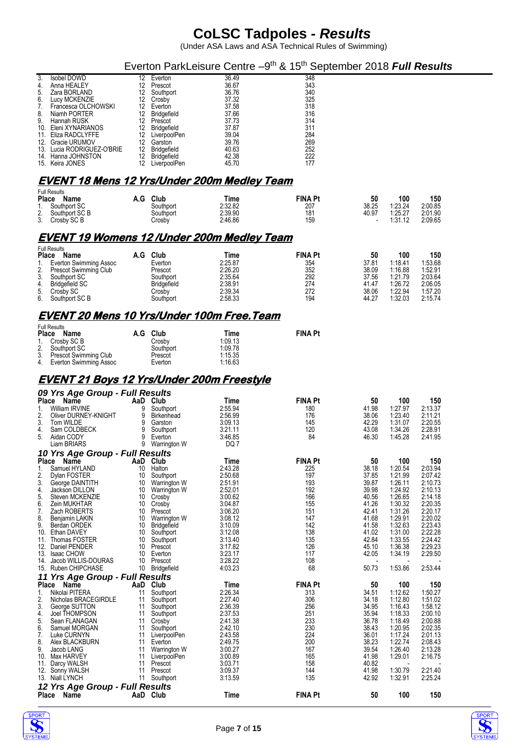(Under ASA Laws and ASA Technical Rules of Swimming)

#### Everton ParkLeisure Centre -9<sup>th</sup> & 15<sup>th</sup> September 2018 Full Results

| 3.  | Isobel DOWD                | 12 | Everton            | 36.49 | 348 |
|-----|----------------------------|----|--------------------|-------|-----|
| 4.  | Anna HEALEY                | 12 | Prescot            | 36.67 | 343 |
| 5.  | Zara BORLAND               | 12 | Southport          | 36.76 | 340 |
| 6.  | Lucy MCKENZIE              | 12 | Crosby             | 37.32 | 325 |
| 7.  | Francesca OLCHOWSKI        | 12 | Everton            | 37.58 | 318 |
| 8.  | Niamh PORTER               | 12 | Bridgefield        | 37.66 | 316 |
| 9.  | Hannah RUSK                | 12 | Prescot            | 37.73 | 314 |
|     | 10. Eleni XYNARIANOS       | 12 | Bridgefield        | 37.87 | 311 |
|     | 11. Eliza RADCLYFFE        | 12 | LiverpoolPen       | 39.04 | 284 |
| 12. | Gracie URUMOV              | 12 | Garston            | 39.76 | 269 |
|     | 13. Lucia RODRIGUEZ-O'BRIE | 12 | <b>Bridgefield</b> | 40.63 | 252 |
|     | 14. Hanna JOHNSTON         | 12 | Bridgefield        | 42.38 | 222 |
|     | 15. Keira JONES            | 12 | LiverpoolPen       | 45.70 | 177 |

#### **EVENT 18 Mens 12 Yrs/Under 200m Medley Team**

| <b>Full Results</b><br>Place<br>Name | Club<br>A.G | Time    | <b>FINA Pt</b> | 50    | 100     | 150     |
|--------------------------------------|-------------|---------|----------------|-------|---------|---------|
| Southport SC<br>$\overline{1}$       | Southport   | 2:32.82 | 207            | 38.25 | 1:23.24 | 2:00.85 |
| Southport SC B<br>2.                 | Southport   | 2:39.90 | 181            | 40.97 | 1:25.27 | 2:01.90 |
| Crosby SC B<br>3.                    | Crosbv      | 2.46.86 | 159            |       | 1:31.12 | 2:09.65 |

#### **EVENT 19 Womens 12 /Under 200m Medley Team**

|                             | <b>Full Results</b>    |  |                    |  |         |  |                |  |       |         |         |
|-----------------------------|------------------------|--|--------------------|--|---------|--|----------------|--|-------|---------|---------|
| <b>Place</b><br>Name<br>A.G |                        |  | Club               |  | Time    |  | <b>FINA Pt</b> |  | 50    | 100     | 150     |
|                             | Everton Swimming Assoc |  | Everton            |  | 2:25.87 |  | 354            |  | 37.81 | 1:18.41 | 1:53.68 |
| 2.                          | Prescot Swimming Club  |  | Prescot            |  | 2.26.20 |  | 352            |  | 38.09 | 1:16.88 | 1:52.91 |
| 3.                          | Southport SC           |  | Southport          |  | 2:35.64 |  | 292            |  | 37.56 | 1.21.79 | 2:03.64 |
| 4.                          | Bridgefield SC         |  | <b>Bridgefield</b> |  | 2:38.91 |  | 274            |  | 41.47 | 1.26.72 | 2:06.05 |
| 5.                          | Crosby SC              |  | Crosbv             |  | 2:39.34 |  | 272            |  | 38.06 | 1.22.94 | 1:57.20 |
| 6.                          | Southport SC B         |  | Southport          |  | 2:58.33 |  | 194            |  | 44.27 | 1:32.03 | 2:15.74 |

#### **EVENT 20 Mens 10 Yrs/Under 100m Free.Team**

| <b>Place</b> | <b>Full Results</b><br>Name | A.G Club  | Time    | <b>FINA Pt</b> |
|--------------|-----------------------------|-----------|---------|----------------|
|              | 1. Crosby SC B              | Crosbv    | 1:09.13 |                |
|              | 2. Southport SC             | Southport | 1.09.78 |                |
|              | 3. Prescot Swimming Club    | Prescot   | 1:15.35 |                |
|              | 4. Everton Swimming Assoc   | Everton   | 1:16.63 |                |

# **EVENT 21 Boys 12 Yrs/Under 200m Freestyle**

| 09 Yrs Age Group - Full Results         |          |                        |                    |                |                |                    |                    |
|-----------------------------------------|----------|------------------------|--------------------|----------------|----------------|--------------------|--------------------|
| Place<br><b>Name</b>                    | AaD      | Club                   | Time               | <b>FINA Pt</b> | 50             | 100                | 150                |
| William IRVINE<br>1.                    | 9        | Southport              | 2:55.94            | 180            | 41.98          | 1:27.97            | 2:13.37            |
| 2.<br>Oliver DURNEY-KNIGHT              | 9        | <b>Birkenhead</b>      | 2:56.99            | 176            | 38.06          | 1:23.40            | 2:11.21            |
| 3.<br>Tom WILDE                         | 9        | Garston                | 3:09.13            | 145            | 42.29          | 1:31.07            | 2:20.55            |
| Sam COLDBECK<br>4.<br>5.                | 9        | Southport              | 3:21.11            | 120<br>84      | 43.08          | 1:34.26            | 2:28.91            |
| Aidan CODY<br>Liam BRIARS               | 9<br>9   | Everton                | 3:46.85<br>DQ 7    |                | 46.30          | 1:45.28            | 2:41.95            |
|                                         |          | Warrington W           |                    |                |                |                    |                    |
| 10 Yrs Age Group - Full Results         |          |                        |                    |                |                |                    |                    |
| Place<br>Name                           | AaD      | Club                   | Time               | <b>FINA Pt</b> | 50             | 100                | 150                |
| Samuel HYLAND<br>1.                     | 10       | Halton                 | 2:43.28            | 225            | 38.18          | 1:20.54            | 2:03.94            |
| 2.<br><b>Dylan FOSTER</b><br>3.         | 10       | Southport              | 2:50.68<br>2:51.91 | 197<br>193     | 37.85<br>39.87 | 1.21.99<br>1:26.11 | 2:07.42<br>2:10.73 |
| George DAINTITH<br>4.<br>Jackson DILLON | 10<br>10 | Warrington W           | 2:52.01            | 192            | 39.98          | 1:24.92            | 2:10.13            |
| 5.<br>Steven MCKENZIE                   | 10       | Warrington W<br>Crosby | 3:00.62            | 166            | 40.56          | 1:26.65            | 2:14.18            |
| 6.<br>Zein MUKHTAR                      | 10       | Crosby                 | 3:04.87            | 155            | 41.26          | 1:30.32            | 2:20.35            |
| 7.<br>Zach ROBERTS                      | 10       | Prescot                | 3.06.20            | 151            | 42.41          | 1:31.26            | 2:20.17            |
| 8.<br>Benjamin LAKIN                    | 10       | Warrington W           | 3:08.12            | 147            | 41.68          | 1:29.91            | 2:20.02            |
| 9.<br>Berdan ORDEK                      | 10       | <b>Bridgefield</b>     | 3:10.09            | 142            | 41.58          | 1:32.63            | 2:23.43            |
| 10.<br>Ethan DAVEY                      | 10       | Southport              | 3:12.08            | 138            | 41.02          | 1:31.00            | 2:22.28            |
| Thomas FOSTER<br>11.                    | 10       | Southport              | 3:13.40            | 135            | 42.84          | 1:33.55            | 2:24.42            |
| 12.<br>Daniel PENDER                    | 10       | Prescot                | 3:17.82            | 126            | 45.10          | 1:36.38            | 2:29.23            |
| <b>Isaac CHOW</b><br>13.                | 10       | Everton                | 3:23.17            | 117            | 42.05          | 1:34.19            | 2:29.50            |
| Jacob WILLIS-DOURAS<br>14.              | 10       | Prescot                | 3:28.22            | 108            |                |                    |                    |
| Ruben CHIPCHASE<br>15.                  | 10       | <b>Bridgefield</b>     | 4:03.23            | 68             | 50.73          | 1.53.86            | 2:53.44            |
| 11 Yrs Age Group - Full Results         |          |                        |                    |                |                |                    |                    |
| Place<br>Name                           | AaD      | Club                   | Time               | <b>FINA Pt</b> | 50             | 100                | 150                |
| 1.<br>Nikolai PITERA                    | 11       | Southport              | 2:26.34            | 313            | 34.51          | 1:12.62            | 1:50.27            |
| 2.<br>Nicholas BRACEGIRDLE              | 11       | Southport              | 2:27.40            | 306            | 34.18          | 1:12.80            | 1:51.02            |
| 3.<br>George SUTTON                     | 11       | Southport              | 2:36.39            | 256            | 34.95          | 1:16.43            | 1:58.12            |
| 4.<br>Joel THOMPSON<br>5.               | 11<br>11 | Southport              | 2:37.53<br>2:41.38 | 251<br>233     | 35.94<br>36.78 | 1:18.33<br>1:18.49 | 2:00.10<br>2:00.88 |
| Sean FLANAGAN<br>6.<br>Samuel MORGAN    | 11       | Crosby<br>Southport    | 2:42.10            | 230            | 38.43          | 1.20.95            | 2:02.35            |
| 7.<br>Luke CURNYN                       | 11       | LiverpoolPen           | 2:43.58            | 224            | 36.01          | 1:17.24            | 2:01.13            |
| 8.<br>Alex BLACKBURN                    | 11       | Everton                | 2:49.75            | 200            | 38.23          | 1:22.74            | 2:08.43            |
| 9.<br>Jacob LANG                        | 11       | Warrington W           | 3:00.27            | 167            | 39.54          | 1:26.40            | 2:13.28            |
| 10.<br>Max HARVEY                       | 11       | LiverpoolPen           | 3:00.89            | 165            | 41.98          | 1:29.01            | 2:16.75            |
| 11.<br>Darcy WALSH                      | 11       | Prescot                | 3:03.71            | 158            | 40.82          |                    |                    |
| 12. Sonny WALSH                         | 11       | Prescot                | 3:09.37            | 144            | 41.98          | 1:30.79            | 2:21.40            |
| 13.<br>Niall LYNCH                      | 11       | Southport              | 3:13.59            | 135            | 42.92          | 1:32.91            | 2:25.24            |
| 12 Yrs Age Group - Full Results         |          |                        |                    |                |                |                    |                    |
| <b>Place</b><br>Name                    | AaD      | Club                   | Time               | <b>FINA Pt</b> | 50             | 100                | 150                |



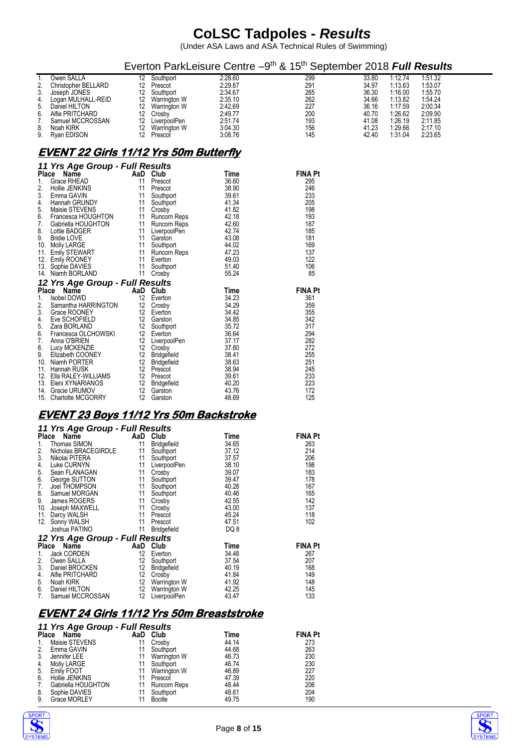(Under ASA Laws and ASA Technical Rules of Swimming)

|                                                                                                                                                                                                                                                                                                                                                                 |                                                                      |                                                                                                                                                                                                                                 |                                                                                                                                     | Everton ParkLeisure Centre -9 <sup>th</sup> & 15 <sup>th</sup> September 2018 <b>Full Results</b>     |                                                                               |                                                                                                 |                                                                                                 |
|-----------------------------------------------------------------------------------------------------------------------------------------------------------------------------------------------------------------------------------------------------------------------------------------------------------------------------------------------------------------|----------------------------------------------------------------------|---------------------------------------------------------------------------------------------------------------------------------------------------------------------------------------------------------------------------------|-------------------------------------------------------------------------------------------------------------------------------------|-------------------------------------------------------------------------------------------------------|-------------------------------------------------------------------------------|-------------------------------------------------------------------------------------------------|-------------------------------------------------------------------------------------------------|
| Owen SALLA<br>1.<br>Christopher BELLARD<br>3.<br>Joseph JONES<br>Logan MULHALL-REID<br>4.<br>Daniel HILTON<br>5.<br>Alfie PRITCHARD<br>6.<br>7.<br>Samuel MCCROSSAN<br>8.<br>Noah KIRK<br>9.<br>Ryan EDISON                                                                                                                                                     |                                                                      | 12 Southport<br>12 Prescot<br>12 Southport<br>12 Warrington W<br>12 Warrington W<br>12 Crosby<br>12 LiverpoolPen<br>12 Warrington W<br>12 Prescot                                                                               | 2:28.60<br>2:29.87<br>2:34.67<br>2:35.10<br>2:42.69<br>2:49.77<br>2:51.74<br>3:04.30<br>3:08.76                                     | 299<br>291<br>265<br>262<br>227<br>200<br>193<br>156<br>145                                           | 33.80<br>34.97<br>36.30<br>34.66<br>36.16<br>40.70<br>41.08<br>41.23<br>42.40 | 1:12.74<br>1:13.63<br>1:16.00<br>1:13.82<br>1:17.59<br>1.26.62<br>1:26.19<br>1:29.66<br>1.31.04 | 1:51.32<br>1:53.07<br>1:55.70<br>1:54.24<br>2:00.34<br>2:09.90<br>2:11.85<br>2:17.10<br>2:23.65 |
| <u>EVENT 22 Girls 11/12 Yrs 50m Butterfly</u>                                                                                                                                                                                                                                                                                                                   |                                                                      |                                                                                                                                                                                                                                 |                                                                                                                                     |                                                                                                       |                                                                               |                                                                                                 |                                                                                                 |
| 11 Yrs Age Group - Full Results<br>Place Name<br>Grace RHEAD<br>1.<br>2.<br>Hollie JENKINS<br>3.<br>Emma GAVIN<br>Hannah GRUNDY<br>4.<br>Maisie STEVENS<br>5.<br>Francesca HOUGHTON<br>6.<br>7.<br>Gabriella HOUGHTON<br>8.<br>Lottie BADGER<br>9.<br>Bridie LOVE<br>10. Molly LARGE                                                                            | AaD Club<br>11<br>11<br>11<br>11<br>11                               | Prescot<br>Prescot<br>11 Southport<br>Southport<br>11 Crosby<br>11 Runcorn Reps<br>Runcorn Reps<br>11 LiverpoolPen<br>11 Garston<br>Southport                                                                                   | Time<br>36.60<br>38.90<br>39.61<br>41.34<br>41.82<br>42.18<br>42.60<br>42.74<br>43.08<br>44.02                                      | FINA Pt<br>295<br>246<br>233<br>205<br>198<br>193<br>187<br>185<br>181<br>169                         |                                                                               |                                                                                                 |                                                                                                 |
| 11. Emily STEWART<br>12. Emily ROONEY<br>13. Sophie DAVIES<br>14. Niamh BORLAND                                                                                                                                                                                                                                                                                 | 11                                                                   | Runcorn Reps<br>11 Everton<br>11 Southport<br>11 Crosby                                                                                                                                                                         | 47.23<br>49.03<br>51.40<br>55.24                                                                                                    | 137<br>122<br>106<br>85                                                                               |                                                                               |                                                                                                 |                                                                                                 |
| 12 Yrs Age Group - Full Results<br>Place Name                                                                                                                                                                                                                                                                                                                   | AaD Club                                                             |                                                                                                                                                                                                                                 | Time                                                                                                                                | <b>FINA Pt</b>                                                                                        |                                                                               |                                                                                                 |                                                                                                 |
| 1.<br>Isobel DOWD<br>Samantha HARRINGTON<br>2.<br>3.<br>Grace ROONEY<br>Eve SCHOFIELD<br>4.<br>Zara BORLAND<br>5.<br>Francesca OLCHOWSKI<br>6.<br>7.<br>Anna O'BRIEN<br>8.<br>Lucy MCKENZIE<br>9.<br>Elizabeth COONEY<br>10. Niamh PORTER<br>11. Hannah RUSK<br>12. Ella RALEY-WILLIAMS<br>13.   Eleni XYNARIANOS<br>14. Gracie URUMOV<br>15. Charlotte MCGORRY |                                                                      | 12 Everton<br>12 Crosby<br>12 Everton<br>12 Garston<br>12 Southport<br>12 Everton<br>12 LiverpoolPen<br>12 Crosby<br>12 Bridgefield<br>12 Bridgefield<br>12 Prescot<br>12 Prescot<br>12 Bridgefield<br>12 Garston<br>12 Garston | 34.23<br>34.29<br>34.42<br>34.85<br>35.72<br>36.64<br>37.17<br>37.60<br>38.41<br>38.63<br>38.94<br>39.61<br>40.20<br>43.76<br>48.69 | 361<br>359<br>355<br>342<br>317<br>294<br>282<br>272<br>255<br>251<br>245<br>233<br>223<br>172<br>125 |                                                                               |                                                                                                 |                                                                                                 |
| <u>EVENT 23 Boys 11/12 Yrs 50m Backstroke</u>                                                                                                                                                                                                                                                                                                                   |                                                                      |                                                                                                                                                                                                                                 |                                                                                                                                     |                                                                                                       |                                                                               |                                                                                                 |                                                                                                 |
| 11 Yrs Age Group - Full Results<br>Place Name<br>Thomas SIMON<br>1.<br>Nicholas BRACEGIRDLE<br>3.<br>Nikolai PITERA<br>Luke CURNYN<br>4.<br>Sean FLANAGAN<br>5.<br>6.<br>George SUTTON<br>Joel THOMPSON<br>7.<br>8.<br>Samuel MORGAN<br>9.<br>James ROGERS<br>10. Joseph MAXWELL<br>11. Darcy WALSH<br>12. Sonny WALSH<br>Joshua PATINO                         | 11<br>11<br>11<br>11<br>11<br>11<br>11<br>11<br>11<br>11<br>11<br>11 | AaD Club<br>Bridgefield<br>11 Southport<br>Southport<br>LiverpoolPen<br>Crosby<br>Southport<br>Southport<br>Southport<br>Crosby<br>Crosby<br>Prescot<br>Prescot<br><b>Bridgefield</b>                                           | Time<br>34.65<br>37.12<br>37.57<br>38.10<br>39.07<br>39.47<br>40.28<br>40.46<br>42.55<br>43.00<br>45.24<br>47.51<br>DQ 8            | <b>FINA Pt</b><br>263<br>214<br>206<br>198<br>183<br>178<br>167<br>165<br>142<br>137<br>118<br>102    |                                                                               |                                                                                                 |                                                                                                 |
| 12 Yrs Age Group - Full Results<br>Place Name                                                                                                                                                                                                                                                                                                                   |                                                                      | AaD Club                                                                                                                                                                                                                        | Time                                                                                                                                | <b>FINA Pt</b>                                                                                        |                                                                               |                                                                                                 |                                                                                                 |
| 1.<br><b>Jack CORDEN</b><br>2.<br>Owen SALLA<br>3.<br>Daniel BROCKEN<br>Alfie PRITCHARD<br>4.<br>5.<br>Noah KIRK<br>6.<br>Daniel HILTON<br>7.<br>Samuel MCCROSSAN<br>$\mathbf{r}$ as and                                                                                                                                                                        | 12<br>12<br>12<br>12<br>12                                           | 12 Everton<br>Southport<br>Bridgefield<br>Crosby<br>Warrington W<br>12 Warrington W<br>LiverpoolPen                                                                                                                             | 34.48<br>37.54<br>40.19<br>41.84<br>41.92<br>42.25<br>43.47                                                                         | 267<br>207<br>168<br>149<br>148<br>145<br>133                                                         |                                                                               |                                                                                                 |                                                                                                 |

#### **EVENT 24 Girls 11/12 Yrs 50m Breaststroke**

|  |  | 11 Yrs Age Group - Full Results |
|--|--|---------------------------------|
|  |  |                                 |

| <b>Place</b> | Name                | AaD | Club         | Time  | <b>FINA Pt</b> |
|--------------|---------------------|-----|--------------|-------|----------------|
|              | Maisie STEVENS      | 11  | Crosby       | 44.14 | 273            |
|              | Emma GAVIN          |     | Southport    | 44.68 | 263            |
|              | Jennifer LEE        | 11  | Warrington W | 46.73 | 230            |
| 4.           | Molly LARGE         |     | Southport    | 46.74 | 230            |
| 5.           | Emily FOOT          | 11  | Warrington W | 46.89 | 227            |
| 6.           | Hollie JENKINS      |     | Prescot      | 47.39 | 220            |
|              | Gabriella HOUGHTON  | 11  | Runcorn Reps | 48.44 | 206            |
| 8.           | Sophie DAVIES       | 11  | Southport    | 48.61 | 204            |
| 9.           | <b>Grace MORLEY</b> |     | Bootle       | 49.75 | 190            |



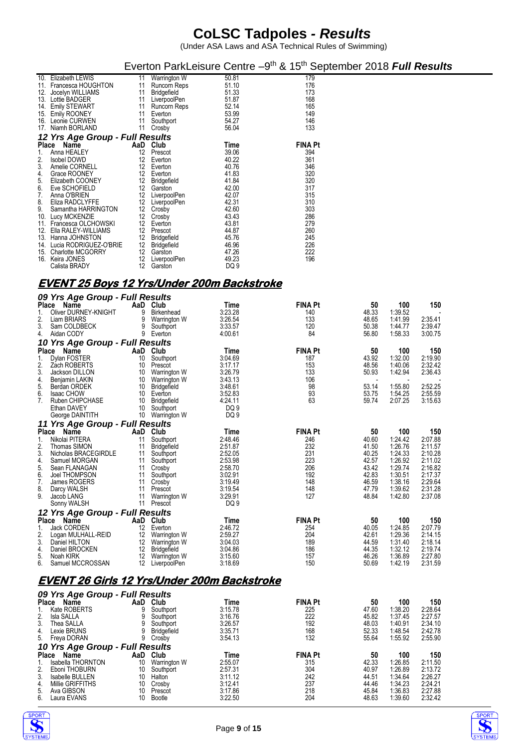|                                                                                                                                                                                                                                                                                                                                                                                                                             |                                              |                                                                                                                                                                                                                                                                                 |                                                                                                                                                              | Everton ParkLeisure Centre -9 <sup>th</sup> & 15 <sup>th</sup> September 2018 <b>Full Results</b>                              |                                                                                     |                                                                                                        |                                                                                                        |
|-----------------------------------------------------------------------------------------------------------------------------------------------------------------------------------------------------------------------------------------------------------------------------------------------------------------------------------------------------------------------------------------------------------------------------|----------------------------------------------|---------------------------------------------------------------------------------------------------------------------------------------------------------------------------------------------------------------------------------------------------------------------------------|--------------------------------------------------------------------------------------------------------------------------------------------------------------|--------------------------------------------------------------------------------------------------------------------------------|-------------------------------------------------------------------------------------|--------------------------------------------------------------------------------------------------------|--------------------------------------------------------------------------------------------------------|
| 10. Elizabeth LEWIS<br>11. Francesca HOUGHTON<br>12. Jocelyn WILLIAMS<br>13. Lottie BADGER<br>14. Emily STEWART<br>15. Emily ROONEY<br>16. Leonie CURWEN<br>17. Niamh BORLAND<br>12 Yrs Age Group - Full Results                                                                                                                                                                                                            | 11<br>11<br>11<br>11<br>11                   | 11 Warrington W<br>Runcorn Reps<br><b>Bridgefield</b><br>11 LiverpoolPen<br>Runcorn Reps<br>Everton<br>Southport<br>11 Crosby                                                                                                                                                   | 50.81<br>51.10<br>51.33<br>51.87<br>52.14<br>53.99<br>54.27<br>56.04                                                                                         | 179<br>176<br>173<br>168<br>165<br>149<br>146<br>133                                                                           |                                                                                     |                                                                                                        |                                                                                                        |
| Place Name<br>1.<br>Anna HEALEY<br>2.<br>Isobel DOWD<br>3.<br>Amelie CORNELL<br>4.<br>Grace ROONEY<br>5.<br>Elizabeth COONEY<br>6.<br>Eve SCHOFIELD<br>7.<br>Anna O'BRIEN<br>8.<br>Eliza RADCLYFFE<br>9.<br>Samantha HARRINGTON<br>10. Lucy MCKENZIE<br>11. Francesca OLCHOWSKI<br>12. Ella RALEY-WILLIAMS<br>13. Hanna JOHNSTON<br>14. Lucia RODRIGUEZ-O'BRIE<br>15. Charlotte MCGORRY<br>16. Keira JONES<br>Calista BRADY |                                              | AaD Club<br>12 Prescot<br>12 Everton<br>12 Everton<br>12 Everton<br>12 Bridgefield<br>12 Garston<br>12 LiverpoolPen<br>12 LiverpoolPen<br>12 Crosby<br>12 Crosby<br>12 Everton<br>12 Prescot<br>12 Bridgefield<br>12 Bridgefield<br>12 Garston<br>12 LiverpoolPen<br>12 Garston | Time<br>39.06<br>40.22<br>40.76<br>41.83<br>41.84<br>42.00<br>42.07<br>42.31<br>42.60<br>43.43<br>43.81<br>44.87<br>45.76<br>46.96<br>47.26<br>49.23<br>DQ 9 | <b>FINA Pt</b><br>394<br>361<br>346<br>320<br>320<br>317<br>315<br>310<br>303<br>286<br>279<br>260<br>245<br>226<br>222<br>196 |                                                                                     |                                                                                                        |                                                                                                        |
| <u>EVENT 25 Boys 12 Yrs/Under 200m Backstroke</u><br>09 Yrs Age Group - Full Results                                                                                                                                                                                                                                                                                                                                        |                                              |                                                                                                                                                                                                                                                                                 |                                                                                                                                                              |                                                                                                                                |                                                                                     |                                                                                                        |                                                                                                        |
| Place Name<br>Oliver DURNEY-KNIGHT<br>1.<br>2.<br>Liam BRIARS<br>3.<br>Sam COLDBECK<br>4.<br>Aidan CODY                                                                                                                                                                                                                                                                                                                     | 9<br>9<br>9<br>9                             | AaD Club<br><b>Birkenhead</b><br>Warrington W<br>Southport<br>Everton                                                                                                                                                                                                           | Time<br>3:23.28<br>3:26.54<br>3:33.57<br>4:00.61                                                                                                             | <b>FINA Pt</b><br>140<br>133<br>120<br>84                                                                                      | 50<br>48.33<br>48.65<br>50.38<br>56.80                                              | 100<br>1:39.52<br>141.99<br>1.44.77<br>1:58.33                                                         | 150<br>2:35.41<br>2:39.47<br>3:00.75                                                                   |
| 10 Yrs Age Group - Full Results<br>Place Name<br>1.<br>Dylan FOSTER<br>2.<br>Zach ROBERTS<br>3.<br>Jackson DILLON<br>4.<br>Benjamin LAKIN<br>5.<br>Berdan ORDEK<br><b>Isaac CHOW</b><br>6.<br>7.<br>Ruben CHIPCHASE<br>Ethan DAVEY<br>George DAINTITH                                                                                                                                                                       | 10<br>10<br>10<br>10                         | AaD Club<br>10 Southport<br>Prescot<br>10 Warrington W<br>10 Warrington W<br><b>Bridgefield</b><br>10 Everton<br>Bridgefield<br>Southport<br>10 Warrington W                                                                                                                    | Time<br>3.04.69<br>3:17.17<br>3:26.79<br>3:43.13<br>3:48.61<br>3:52.83<br>4:24.11<br>DQ 9<br>DQ 9                                                            | <b>FINA Pt</b><br>187<br>153<br>133<br>106<br>98<br>93<br>63                                                                   | 50<br>43.92<br>48.56<br>50.93<br>53.14<br>53.75<br>59.74                            | 100<br>1.32.00<br>1:40.06<br>1:42.94<br>1:55.80<br>1:54.25<br>2:07.25                                  | 150<br>2:19.90<br>2:32.42<br>2:36.43<br>2:52.25<br>2:55.59<br>3:15.63                                  |
| 11 Yrs Age Group - Full Results<br>Place Name<br>Nikolai PITERA<br>1.<br>2.<br>Thomas SIMON<br>Nicholas BRACEGIRDLE<br>3.<br>4.<br>Samuel MORGAN<br>5.<br>Sean FLANAGAN<br>6.<br>Joel THOMPSON<br>James ROGERS<br>7.<br>8.<br>Darcy WALSH<br>9.<br>Jacob LANG<br>Sonny WALSH                                                                                                                                                | 11<br>11<br>11<br>11<br>11<br>11<br>11<br>11 | AaD Club<br>Southport<br><b>Bridgefield</b><br>Southport<br>Southport<br>11 Crosby<br>Southport<br>Crosby<br>Prescot<br>Warrington W<br>11 Prescot                                                                                                                              | Time<br>2:48.46<br>2:51.87<br>2.52.05<br>2:53.98<br>2:58.70<br>3:02.91<br>3:19.49<br>3:19.54<br>3:29.91<br>DQ 9                                              | FINA Pt<br>246<br>232<br>231<br>223<br>206<br>192<br>148<br>148<br>127                                                         | 50<br>40.60<br>41.50<br>40.25<br>42.57<br>43.42<br>42.83<br>46.59<br>47.79<br>48.84 | 100<br>1.24.42<br>1:26.76<br>1:24.33<br>1:26.92<br>1:29.74<br>1:30.51<br>1:38.16<br>1.39.62<br>1:42.80 | 150<br>2:07.88<br>2:11.57<br>2:10.28<br>2:11.02<br>2:16.82<br>2:17.37<br>2:29.64<br>2:31.28<br>2:37.08 |
| 12 Yrs Age Group - Full Results<br>Place Name<br>1.<br>Jack CORDEN<br>2.<br>Logan MULHALL-REID<br>3.<br>Daniel HILTON<br>4.<br>Daniel BROCKEN<br>5.<br>Noah KIRK<br>6.<br>Samuel MCCROSSAN                                                                                                                                                                                                                                  |                                              | AaD Club<br>12 Everton<br>12 Warrington W<br>12 Warrington W<br>12 Bridgefield<br>12 Warrington W<br>12 LiverpoolPen                                                                                                                                                            | Time<br>2:46.72<br>2.59.27<br>3:04.03<br>3:04.86<br>3:15.60<br>3:18.69                                                                                       | <b>FINA Pt</b><br>254<br>204<br>189<br>186<br>157<br>150                                                                       | 50<br>40.05<br>42.61<br>44.59<br>44.35<br>46.26<br>50.69                            | 100<br>1:24.85<br>1.29.36<br>1:31.40<br>1.32.12<br>1:36.89<br>1:42.19                                  | 150<br>2:07.79<br>2:14.15<br>2:18.14<br>2:19.74<br>2:27.80<br>2:31.59                                  |
| <u>EVENT 26 Girls 12 Yrs/Under 200m Backstroke</u>                                                                                                                                                                                                                                                                                                                                                                          |                                              |                                                                                                                                                                                                                                                                                 |                                                                                                                                                              |                                                                                                                                |                                                                                     |                                                                                                        |                                                                                                        |
| 09 Yrs Age Group - Full Results<br>Place Name<br>1.<br>Kate ROBERTS<br>2.<br>Isla SALLA<br>3.<br>Thea SALLA<br>4.<br>Lexie BRUNS<br>5.<br>Freya DORAN                                                                                                                                                                                                                                                                       | 9<br>9<br>9<br>9<br>9                        | AaD Club<br>Southport<br>Southport<br>Southport<br><b>Bridgefield</b><br>Crosby                                                                                                                                                                                                 | Time<br>3:15.78<br>3:16.76<br>3:26.57<br>3:35.71<br>3:54.13                                                                                                  | <b>FINA Pt</b><br>225<br>222<br>192<br>168<br>132                                                                              | 50<br>47.60<br>45.82<br>48.03<br>52.33<br>55.64                                     | 100<br>1.38.20<br>1:37.45<br>1:40.91<br>1.48.54<br>1.55.92                                             | 150<br>2:28.64<br>2:27.57<br>2:34.10<br>2:42.78<br>2:55.90                                             |
| 10 Yrs Age Group - Full Results<br>Place Name<br>Isabella THORNTON<br>1.<br>2.<br>Eboni THOBURN<br>3.<br>Isabelle BULLEN<br>Millie GRIFFITHS<br>4.<br>5.<br>Ava GIBSON<br>6.<br>Laura EVANS                                                                                                                                                                                                                                 | 10<br>10<br>10                               | AaD Club<br>10 Warrington W<br>Southport<br>Halton<br>10 Crosby<br>Prescot<br>10 Bootle                                                                                                                                                                                         | Time<br>2:55.07<br>2:57.31<br>3:11.12<br>3:12.41<br>3:17.86<br>3:22.50                                                                                       | <b>FINA Pt</b><br>315<br>304<br>242<br>237<br>218<br>204                                                                       | 50<br>42.33<br>40.97<br>44.51<br>44.46<br>45.84<br>48.63                            | 100<br>1:26.85<br>1:26.89<br>1.34.64<br>1:34.23<br>1:36.83<br>1.39.60                                  | 150<br>2:11.50<br>2:13.72<br>2:26.27<br>2:24.21<br>2:27.88<br>2:32.42                                  |



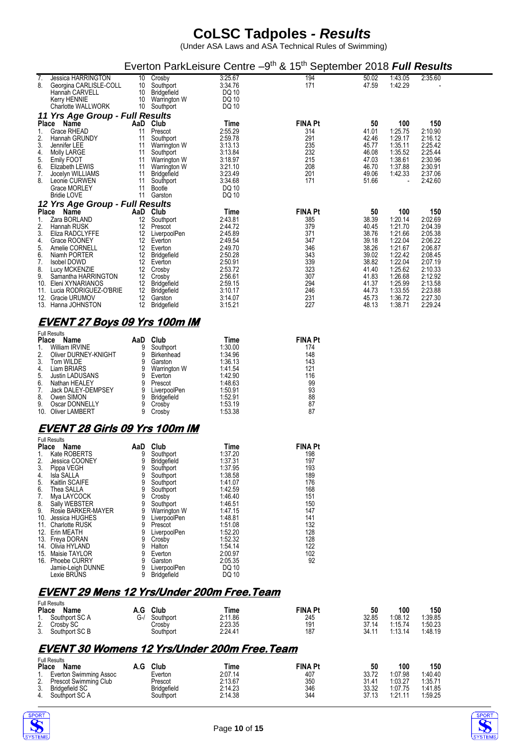(Under ASA Laws and ASA Technical Rules of Swimming)

|                                                                  |                                                                                                                                                                                                                                                                                                                                           |                                                                                               |                                                                                                                                                                                                                                                               |                                                                                                                                                                                                        | Everton ParkLeisure Centre -9 <sup>th</sup> & 15 <sup>th</sup> September 2018 Full Results                                    |                                                                                                                   |                                                                                                                                             |                                                                                                                                             |
|------------------------------------------------------------------|-------------------------------------------------------------------------------------------------------------------------------------------------------------------------------------------------------------------------------------------------------------------------------------------------------------------------------------------|-----------------------------------------------------------------------------------------------|---------------------------------------------------------------------------------------------------------------------------------------------------------------------------------------------------------------------------------------------------------------|--------------------------------------------------------------------------------------------------------------------------------------------------------------------------------------------------------|-------------------------------------------------------------------------------------------------------------------------------|-------------------------------------------------------------------------------------------------------------------|---------------------------------------------------------------------------------------------------------------------------------------------|---------------------------------------------------------------------------------------------------------------------------------------------|
| 7.<br>8.                                                         | Jessica HARRINGTON<br>Georgina CARLISLE-COLL<br>Hannah CARVELL<br>Kerry HENNIE<br><b>Charlotte WALLWORK</b>                                                                                                                                                                                                                               | 10                                                                                            | 10 Crosby<br>Southport<br>10 Bridgefield<br>10 Warrington W<br>10 Southport                                                                                                                                                                                   | 3:25.67<br>3:34.76<br>DQ 10<br>DQ 10<br>DQ 10                                                                                                                                                          | 194<br>171                                                                                                                    | 50.02<br>47.59                                                                                                    | 1.43.05<br>1:42.29                                                                                                                          | 2:35.60                                                                                                                                     |
|                                                                  | 11 Yrs Age Group - Full Results                                                                                                                                                                                                                                                                                                           |                                                                                               |                                                                                                                                                                                                                                                               |                                                                                                                                                                                                        |                                                                                                                               |                                                                                                                   |                                                                                                                                             |                                                                                                                                             |
| 1.<br>2.<br>3.<br>4.<br>5.<br>6.<br>7.<br>8.                     | Place Name<br><b>Grace RHEAD</b><br>Hannah GRUNDY<br>Jennifer LEE<br>Molly LARGE<br>Emily FOOT<br>Elizabeth LEWIS<br>Jocelyn WILLIAMS<br>Leonie CURWEN<br>Grace MORLEY<br><b>Bridie LOVE</b>                                                                                                                                              | AaD Club<br>11<br>11<br>11<br>11<br>11<br>11<br>11<br>11<br>11                                | Prescot<br>Southport<br>Warrington W<br>Southport<br>Warrington W<br>Warrington W<br><b>Bridgefield</b><br>Southport<br>Bootle<br>11 Garston                                                                                                                  | Time<br>2:55.29<br>2:59.78<br>3:13.13<br>3:13.84<br>3:18.97<br>3:21.10<br>3:23.49<br>3:34.68<br>DQ 10<br>DQ 10                                                                                         | <b>FINA Pt</b><br>314<br>291<br>235<br>232<br>215<br>208<br>201<br>171                                                        | 50<br>41.01<br>42.46<br>45.77<br>46.08<br>47.03<br>46.70<br>49.06<br>51.66                                        | 100<br>1:25.75<br>1:29.17<br>1:35.11<br>1.35.52<br>1.38.61<br>1:37.88<br>1.42.33                                                            | 150<br>2:10.90<br>2:16.12<br>2:25.42<br>2:25.44<br>2:30.96<br>2:30.91<br>2:37.06<br>2:42.60                                                 |
|                                                                  | 12 Yrs Age Group - Full Results<br>Place Name                                                                                                                                                                                                                                                                                             | AaD Club                                                                                      |                                                                                                                                                                                                                                                               | Time                                                                                                                                                                                                   | <b>FINA Pt</b>                                                                                                                | 50                                                                                                                | 100                                                                                                                                         | 150                                                                                                                                         |
| 1.<br>2.<br>3.<br>4.<br>5.<br>6.<br>7.<br>8.<br>9.<br>10.        | Zara BORLAND<br>Hannah RUSK<br>Eliza RADCLYFFE<br>Grace ROONEY<br>Amelie CORNELL<br>Niamh PORTER<br><b>Isobel DOWD</b><br>Lucy MCKENZIE<br>Samantha HARRINGTON<br>Eleni XYNARIANOS<br>11. Lucia RODRIGUEZ-O'BRIE<br>12. Gracie URUMOV<br>13. Hanna JOHNSTON                                                                               | 12<br>12<br>12                                                                                | Southport<br>12 Prescot<br>12 LiverpoolPen<br>12 Everton<br>12 Everton<br>12 Bridgefield<br>12 Everton<br>12 Crosby<br>Crosby<br>12 Bridgefield<br>12 Bridgefield<br>Garston<br>12 Bridgefield                                                                | 2:43.81<br>2:44.72<br>2:45.89<br>2:49.54<br>2:49.70<br>2:50.28<br>2:50.91<br>2:53.72<br>2:56.61<br>2:59.15<br>3:10.17<br>3:14.07<br>3:15.21                                                            | 385<br>379<br>371<br>347<br>346<br>343<br>339<br>323<br>307<br>294<br>246<br>231<br>227                                       | 38.39<br>40.45<br>38.76<br>39.18<br>38.26<br>39.02<br>38.82<br>41.40<br>41.83<br>41.37<br>44.73<br>45.73<br>48.13 | 1:20.14<br>1:21.70<br>1:21.66<br>1:22.04<br>1:21.67<br>1:22.42<br>1.22.04<br>1:25.62<br>1:26.68<br>1:25.99<br>1.33.55<br>1:36.72<br>1:38.71 | 2:02.69<br>2:04.39<br>2:05.38<br>2:06.22<br>2:06.87<br>2:08.45<br>2:07.19<br>2:10.33<br>2:12.92<br>2:13.58<br>2:23.88<br>2:27.30<br>2:29.24 |
|                                                                  | <u>EVENT 27 Boys 09 Yrs 100m IM</u>                                                                                                                                                                                                                                                                                                       |                                                                                               |                                                                                                                                                                                                                                                               |                                                                                                                                                                                                        |                                                                                                                               |                                                                                                                   |                                                                                                                                             |                                                                                                                                             |
|                                                                  | <b>Full Results</b><br>Place Name                                                                                                                                                                                                                                                                                                         | AaD                                                                                           | Club                                                                                                                                                                                                                                                          | Time                                                                                                                                                                                                   | <b>FINA Pt</b>                                                                                                                |                                                                                                                   |                                                                                                                                             |                                                                                                                                             |
| 1.<br>2.<br>3.<br>4.<br>5.<br>6.<br>7.<br>8.<br>9.               | William IRVINE<br>Oliver DURNEY-KNIGHT<br>Tom WILDE<br>Liam BRIARS<br>Justin LADUSANS<br>Nathan HEALEY<br>Jack DALEY-DEMPSEY<br>Owen SIMON<br>Oscar DONNELLY<br>10. Oliver LAMBERT                                                                                                                                                        | 9<br>9<br>9<br>9<br>9<br>9<br>9<br>9<br>9<br>9                                                | Southport<br><b>Birkenhead</b><br>Garston<br>Warrington W<br>Everton<br>Prescot<br>LiverpoolPen<br>Bridgefield<br>Crosby<br>Crosby                                                                                                                            | 1:30.00<br>1.34.96<br>1:36.13<br>1:41.54<br>1:42.90<br>1:48.63<br>1:50.91<br>1:52.91<br>1:53.19<br>1:53.38                                                                                             | 174<br>148<br>143<br>121<br>116<br>99<br>93<br>88<br>87<br>87                                                                 |                                                                                                                   |                                                                                                                                             |                                                                                                                                             |
|                                                                  | <u>EVENT 28 Girls 09 Yrs 100m IM</u>                                                                                                                                                                                                                                                                                                      |                                                                                               |                                                                                                                                                                                                                                                               |                                                                                                                                                                                                        |                                                                                                                               |                                                                                                                   |                                                                                                                                             |                                                                                                                                             |
|                                                                  | <b>Full Results</b>                                                                                                                                                                                                                                                                                                                       |                                                                                               |                                                                                                                                                                                                                                                               |                                                                                                                                                                                                        |                                                                                                                               |                                                                                                                   |                                                                                                                                             |                                                                                                                                             |
| 1.<br>2.<br>3.<br>4.<br>5.<br>6.<br>7.<br>8.<br>9.<br>10.<br>15. | Place Name<br>Kate ROBERTS<br>Jessica COONEY<br>Pippa VEGH<br>Isla SALLA<br>Kaitlin SCAIFE<br>Thea SALLA<br>Mya LAYCOCK<br>Sally WEBSTER<br>Rosie BARKER-MAYER<br>Jessica HUGHES<br>11. Charlotte RUSK<br>12. Erin MEATH<br>13. Freya DORAN<br>14. Olivia HYLAND<br>Maisie TAYLOR<br>16. Phoebe CURRY<br>Jamie-Leigh DUNNE<br>Lexie BRUNS | AaD<br>9<br>9<br>9<br>9<br>9<br>9<br>9<br>9<br>9<br>9<br>9<br>9<br>9<br>9<br>9<br>9<br>9<br>9 | Club<br>Southport<br><b>Bridgefield</b><br>Southport<br>Southport<br>Southport<br>Southport<br>Crosby<br>Southport<br>Warrington W<br>LiverpoolPen<br>Prescot<br>LiverpoolPen<br>Crosby<br>Halton<br>Everton<br>Garston<br>LiverpoolPen<br><b>Bridgefield</b> | Time<br>1:37.20<br>1:37.31<br>1:37.95<br>1:38.58<br>1:41.07<br>1:42.59<br>1:46.40<br>1:46.51<br>1:47.15<br>1:48.81<br>1:51.08<br>1:52.20<br>1:52.32<br>1:54.14<br>2:00.97<br>2:05.35<br>DQ 10<br>DQ 10 | <b>FINA Pt</b><br>198<br>197<br>193<br>189<br>176<br>168<br>151<br>150<br>147<br>141<br>132<br>128<br>128<br>122<br>102<br>92 |                                                                                                                   |                                                                                                                                             |                                                                                                                                             |
|                                                                  | <b>Full Results</b>                                                                                                                                                                                                                                                                                                                       |                                                                                               |                                                                                                                                                                                                                                                               | <b>EVENT 29 Mens 12 Yrs/Under 200m Free. Team</b>                                                                                                                                                      |                                                                                                                               |                                                                                                                   |                                                                                                                                             |                                                                                                                                             |
|                                                                  |                                                                                                                                                                                                                                                                                                                                           |                                                                                               |                                                                                                                                                                                                                                                               |                                                                                                                                                                                                        |                                                                                                                               |                                                                                                                   |                                                                                                                                             |                                                                                                                                             |

| Place | Full Results<br><b>Name</b> | A.G | Club      | Time    | <b>FINA Pt</b> | 50    | 100     | 150     |
|-------|-----------------------------|-----|-----------|---------|----------------|-------|---------|---------|
| Ъ.    | Southport SC A              | G-/ | Southport | 2:11.86 | 245            | 32.85 | 1:08.12 | 1:39.85 |
| 2.    | Crosby SC                   |     | Crosby    | 2:23.35 | 191            | 37.14 | 1:15.74 | 1:50.23 |
|       | 3. Southport SC B           |     | Southport | 2:24.41 | 187            | 34.11 | 1:13.14 | 1:48.19 |

### **EVENT 30 Womens 12 Yrs/Under 200m Free.Team**

| <b>Place</b> | <b>Full Results</b><br>Name | Club               | Time    | <b>FINA Pt</b> | 50    | 100     | 150     |
|--------------|-----------------------------|--------------------|---------|----------------|-------|---------|---------|
|              | Everton Swimming Assoc      | Everton            | 2:07.14 | 407            | 33.72 | 1:07.98 | 1:40.40 |
| <u>.</u>     | Prescot Swimming Club       | Prescot            | 2:13.67 | 350            | 31.41 | 1:03.27 | 1:35.71 |
| J.           | <b>Bridgefield SC</b>       | <b>Bridgefield</b> | 2:14.23 | 346            | 33.32 | 1:07.75 | 1:41.85 |
|              | Southport SC A              | Southport          | 2:14.38 | 344            | 37.13 | 1.91.11 | 1:59.25 |



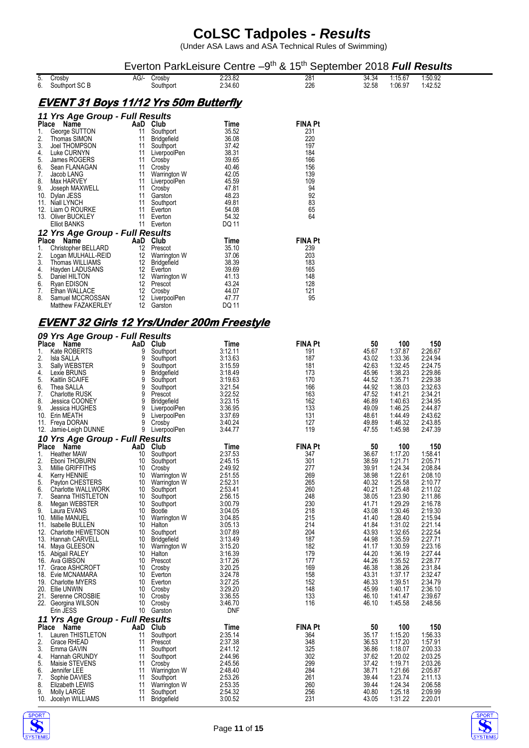|                                                                  |                                                                                                                                                                                                                                                                                                                                                                                                                                                                             |                                                                                                                                        |                                                                                                                                                                                                                                                                                                            |                                                                                                                                                                                                                                                       | Everton ParkLeisure Centre -9 <sup>th</sup> & 15 <sup>th</sup> September 2018 <b>Full Results</b>                                                      |                                                                                                                                                                                                    |                                                                                                                                                                                                                                                |                                                                                                                                                                                                                                                |  |  |
|------------------------------------------------------------------|-----------------------------------------------------------------------------------------------------------------------------------------------------------------------------------------------------------------------------------------------------------------------------------------------------------------------------------------------------------------------------------------------------------------------------------------------------------------------------|----------------------------------------------------------------------------------------------------------------------------------------|------------------------------------------------------------------------------------------------------------------------------------------------------------------------------------------------------------------------------------------------------------------------------------------------------------|-------------------------------------------------------------------------------------------------------------------------------------------------------------------------------------------------------------------------------------------------------|--------------------------------------------------------------------------------------------------------------------------------------------------------|----------------------------------------------------------------------------------------------------------------------------------------------------------------------------------------------------|------------------------------------------------------------------------------------------------------------------------------------------------------------------------------------------------------------------------------------------------|------------------------------------------------------------------------------------------------------------------------------------------------------------------------------------------------------------------------------------------------|--|--|
| 5.<br>6.                                                         | Crosby<br>Southport SC B                                                                                                                                                                                                                                                                                                                                                                                                                                                    |                                                                                                                                        | AG/- Crosby<br>Southport                                                                                                                                                                                                                                                                                   | 2:23.82<br>2.34.60                                                                                                                                                                                                                                    | 281<br>226                                                                                                                                             | 34.34<br>32.58                                                                                                                                                                                     | 1:15.67<br>1:06.97                                                                                                                                                                                                                             | 1:50.92<br>1:42.52                                                                                                                                                                                                                             |  |  |
| <u>EVENT 31 Boys 11/12 Yrs 50m Butterfly</u>                     |                                                                                                                                                                                                                                                                                                                                                                                                                                                                             |                                                                                                                                        |                                                                                                                                                                                                                                                                                                            |                                                                                                                                                                                                                                                       |                                                                                                                                                        |                                                                                                                                                                                                    |                                                                                                                                                                                                                                                |                                                                                                                                                                                                                                                |  |  |
|                                                                  | 11 Yrs Age Group - Full Results                                                                                                                                                                                                                                                                                                                                                                                                                                             |                                                                                                                                        |                                                                                                                                                                                                                                                                                                            |                                                                                                                                                                                                                                                       |                                                                                                                                                        |                                                                                                                                                                                                    |                                                                                                                                                                                                                                                |                                                                                                                                                                                                                                                |  |  |
| 1.<br>2.<br>3.<br>4.<br>5.<br>6.<br>7.<br>8.<br>9.               | Place Name<br>George SUTTON<br>Thomas SIMON<br>Joel THOMPSON<br>Luke CURNYN<br>James ROGERS<br>Sean FLANAGAN<br>Jacob LANG<br>Max HARVEY<br>Joseph MAXWELL<br>10. Dylan JESS<br>11. Niall LYNCH<br>12. Liam O ROURKE<br>13. Oliver BUCKLEY<br><b>Elliot BANKS</b>                                                                                                                                                                                                           | 11<br>11<br>11<br>11<br>11<br>11<br>11<br>11<br>11<br>11<br>11<br>11<br>11<br>11                                                       | AaD Club<br>Southport<br><b>Bridgefield</b><br>Southport<br>LiverpoolPen<br>Crosby<br>Crosby<br>Warrington W<br>LiverpoolPen<br>Crosby<br>Garston<br>Southport<br>Everton<br>Everton<br>Everton                                                                                                            | Time<br>35.52<br>36.08<br>37.42<br>38.31<br>39.65<br>40.46<br>42.05<br>45.59<br>47.81<br>48.23<br>49.81<br>54.08<br>54.32<br>DQ 11                                                                                                                    | FINA Pt<br>231<br>220<br>197<br>184<br>166<br>156<br>139<br>109<br>94<br>92<br>83<br>65<br>64                                                          |                                                                                                                                                                                                    |                                                                                                                                                                                                                                                |                                                                                                                                                                                                                                                |  |  |
|                                                                  | 12 Yrs Age Group - Full Results                                                                                                                                                                                                                                                                                                                                                                                                                                             |                                                                                                                                        |                                                                                                                                                                                                                                                                                                            |                                                                                                                                                                                                                                                       |                                                                                                                                                        |                                                                                                                                                                                                    |                                                                                                                                                                                                                                                |                                                                                                                                                                                                                                                |  |  |
| 1.<br>2.<br>3.<br>4.<br>5.<br>6.<br>7.<br>8.                     | Place Name<br>Christopher BELLARD<br>Logan MULHALL-REID<br>Thomas WILLIAMS<br>Hayden LADUSANS<br>Daniel HILTON<br>Ryan EDISON<br>Ethan WALLACE<br>Samuel MCCROSSAN<br>Matthew FAZAKERLEY                                                                                                                                                                                                                                                                                    | 12<br>12<br>12<br>12<br>12                                                                                                             | AaD Club<br>12 Prescot<br>12 Warrington W<br>Bridgefield<br>Everton<br>12 Warrington W<br>12 Prescot<br>Crosby<br>LiverpoolPen<br>Garston                                                                                                                                                                  | Time<br>35.10<br>37.06<br>38.39<br>39.69<br>41.13<br>43.24<br>44.07<br>47.77<br>DQ 11                                                                                                                                                                 | <b>FINA Pt</b><br>239<br>203<br>183<br>165<br>148<br>128<br>121<br>95                                                                                  |                                                                                                                                                                                                    |                                                                                                                                                                                                                                                |                                                                                                                                                                                                                                                |  |  |
|                                                                  | <b>EVENT 32 Girls 12 Yrs/Under 200m Freestyle</b>                                                                                                                                                                                                                                                                                                                                                                                                                           |                                                                                                                                        |                                                                                                                                                                                                                                                                                                            |                                                                                                                                                                                                                                                       |                                                                                                                                                        |                                                                                                                                                                                                    |                                                                                                                                                                                                                                                |                                                                                                                                                                                                                                                |  |  |
|                                                                  | 09 Yrs Age Group - Full Results                                                                                                                                                                                                                                                                                                                                                                                                                                             |                                                                                                                                        |                                                                                                                                                                                                                                                                                                            |                                                                                                                                                                                                                                                       |                                                                                                                                                        |                                                                                                                                                                                                    |                                                                                                                                                                                                                                                |                                                                                                                                                                                                                                                |  |  |
| 1.<br>2.<br>3.<br>4.<br>5.<br>6.<br>7.<br>8.<br>9.               | Place Name<br>Kate ROBERTS<br>Isla SALLA<br>Sally WEBSTER<br>Lexie BRUNS<br>Kaitlin SCAIFE<br>Thea SALLA<br><b>Charlotte RUSK</b><br>Jessica COONEY<br>Jessica HUGHES<br>10. Erin MEATH<br>11. Freya DORAN<br>12. Jamie-Leigh DUNNE                                                                                                                                                                                                                                         | 9<br>9<br>9<br>9<br>9<br>9<br>9<br>9<br>9<br>9<br>9<br>9                                                                               | AaD Club<br>Southport<br>Southport<br>Southport<br><b>Bridgefield</b><br>Southport<br>Southport<br>Prescot<br><b>Bridgefield</b><br>LiverpoolPen<br>LiverpoolPen<br>Crosby<br>LiverpoolPen                                                                                                                 | Time<br>3:12.11<br>3:13.63<br>3:15.59<br>3:18.49<br>3:19.63<br>3:21.54<br>3:22.52<br>3:23.15<br>3:36.95<br>3:37.69<br>3:40.24<br>3:44.77                                                                                                              | <b>FINA Pt</b><br>191<br>187<br>181<br>173<br>170<br>166<br>163<br>162<br>133<br>131<br>127<br>119                                                     | 50<br>45.67<br>43.02<br>42.63<br>45.96<br>44.52<br>44.92<br>47.52<br>46.89<br>49.09<br>48.61<br>49.89<br>47.55                                                                                     | 100<br>1:37.87<br>1:33.36<br>1:32.45<br>1:38.23<br>1:35.71<br>1.38.03<br>1:41.21<br>1:40.63<br>1:46.25<br>1:44.49<br>1.46.32<br>1.45.98                                                                                                        | 150<br>2:26.67<br>2:24.94<br>2:24.75<br>2:29.86<br>2:29.38<br>2:32.63<br>2:34.21<br>2:34.95<br>2:44.87<br>2:43.62<br>2:43.85<br>2:47.39                                                                                                        |  |  |
|                                                                  | 10 Yrs Age Group - Full Results<br>Place Name                                                                                                                                                                                                                                                                                                                                                                                                                               |                                                                                                                                        | AaD Club                                                                                                                                                                                                                                                                                                   | Time                                                                                                                                                                                                                                                  | <b>FINA Pt</b>                                                                                                                                         | 50                                                                                                                                                                                                 | 100                                                                                                                                                                                                                                            | 150                                                                                                                                                                                                                                            |  |  |
| 1.<br>2.<br>3.<br>4.<br>5.<br>6.<br>7.<br>8.<br>9.<br>11.<br>21. | <b>Heather MAW</b><br>Eboni THOBURN<br>Millie GRIFFITHS<br>Kerry HENNIE<br>Payton CHESTERS<br><b>Charlotte WALLWORK</b><br>Seanna THISTLETON<br>Megan WEBSTER<br>Laura EVANS<br>10. Millie MANUEL<br>Isabelle BULLEN<br>12. Charlotte HEWETSON<br>13. Hannah CARVELL<br>14. Maya GLEESON<br>15. Abigail RALEY<br>16. Ava GIBSON<br>17. Grace ASHCROFT<br>18. Evie MCNAMARA<br>19. Charlotte MYERS<br>20. Ellie UNWIN<br>Serenne CROSBIE<br>22. Georgina WILSON<br>Erin JESS | 10<br>10<br>10<br>10<br>10<br>10<br>10<br>10<br>10<br>10<br>10<br>10<br>10<br>10<br>10<br>10<br>10<br>10<br>10<br>10<br>10<br>10<br>10 | Southport<br>Southport<br>Crosby<br>Warrington W<br>Warrington W<br>Southport<br>Southport<br>Southport<br><b>Bootle</b><br>Warrington W<br>Halton<br>Southport<br><b>Bridgefield</b><br><b>Warrington W</b><br>Halton<br>Prescot<br>Crosby<br>Everton<br>Everton<br>Crosby<br>Crosby<br>Crosby<br>Garston | 2:37.53<br>2:45.15<br>2:49.92<br>2:51.55<br>2:52.31<br>2:53.41<br>2:56.15<br>3.00.79<br>3.04.05<br>3:04.85<br>3:05.13<br>3.07.89<br>3:13.49<br>3:15.20<br>3:16.39<br>3:17.26<br>3:20.25<br>3.24.78<br>3:27.25<br>3:29.20<br>3.36.55<br>3:46.70<br>DNF | 347<br>301<br>277<br>269<br>265<br>260<br>248<br>230<br>218<br>215<br>214<br>204<br>187<br>182<br>179<br>177<br>169<br>158<br>152<br>148<br>133<br>116 | 36.67<br>38.59<br>39.91<br>38.98<br>40.32<br>40.21<br>38.05<br>41.71<br>43.08<br>41.40<br>41.84<br>43.93<br>44.98<br>41.17<br>44.20<br>44.26<br>46.38<br>43.31<br>46.33<br>45.99<br>46.10<br>46.10 | 1:17.20<br>1:21.71<br>1.24.34<br>1:22.61<br>1:25.58<br>1:25.48<br>1:23.90<br>1:29.29<br>1.30.46<br>1:28.40<br>1:31.02<br>1:32.65<br>1:35.59<br>1:30.59<br>1.36.19<br>1:35.52<br>1:38.26<br>1.37.17<br>1:39.51<br>1:40.17<br>1.41.47<br>1:45.58 | 1:58.41<br>2:05.71<br>2:08.84<br>2:08.10<br>2:10.77<br>2:11.02<br>2:11.86<br>2:16.78<br>2:19.30<br>2:15.94<br>2:21.14<br>2:22.54<br>2:27.71<br>2:23.16<br>2:27.44<br>2:28.77<br>2:31.84<br>2:32.47<br>2:34.79<br>2:36.10<br>2:39.67<br>2:48.56 |  |  |
| 1.                                                               | 11 Yrs Age Group - Full Results<br>Place Name<br>Lauren THISTLETON                                                                                                                                                                                                                                                                                                                                                                                                          | 11                                                                                                                                     | AaD Club<br>Southport                                                                                                                                                                                                                                                                                      | Time<br>2:35.14                                                                                                                                                                                                                                       | <b>FINA Pt</b><br>364                                                                                                                                  | 50<br>35.17                                                                                                                                                                                        | 100<br>1:15.20                                                                                                                                                                                                                                 | 150<br>1:56.33                                                                                                                                                                                                                                 |  |  |
| 2.<br>3.<br>4.<br>5.<br>6.<br>7.<br>8.<br>9.                     | Grace RHEAD<br>Emma GAVIN<br>Hannah GRUNDY<br>Maisie STEVENS<br>Jennifer LEE<br>Sophie DAVIES<br>Elizabeth LEWIS<br><b>Molly LARGE</b><br>10. Jocelyn WILLIAMS                                                                                                                                                                                                                                                                                                              | 11<br>11<br>11<br>11<br>11<br>11<br>11<br>11<br>11                                                                                     | Prescot<br>Southport<br>Southport<br>Crosby<br>Warrington W<br>Southport<br>Warrington W<br>Southport<br><b>Bridgefield</b>                                                                                                                                                                                | 2:37.38<br>2:41.12<br>2:44.96<br>2:45.56<br>2:48.40<br>2:53.26<br>2:53.35<br>2.54.32<br>3:00.52                                                                                                                                                       | 348<br>325<br>302<br>299<br>284<br>261<br>260<br>256<br>231                                                                                            | 36.53<br>36.86<br>37.62<br>37.42<br>38.71<br>39.44<br>39.44<br>40.80<br>43.05                                                                                                                      | 1:17.20<br>1:18.07<br>1:20.02<br>1:19.71<br>1:21.66<br>1:23.74<br>1.24.34<br>1:25.18<br>1:31.22                                                                                                                                                | 1:57.91<br>2:00.33<br>2:03.25<br>2:03.26<br>2:05.87<br>2:11.13<br>2:06.58<br>2:09.99<br>2:20.01                                                                                                                                                |  |  |



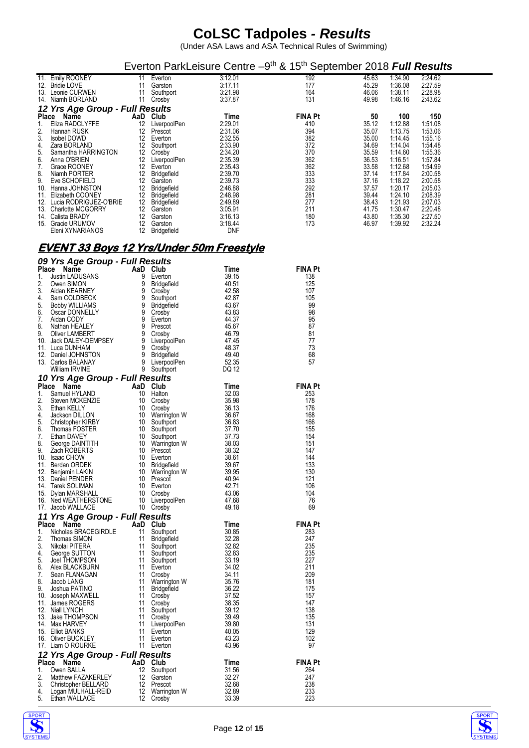(Under ASA Laws and ASA Technical Rules of Swimming)

|              |                                  |          |                      | Everton ParkLeisure Centre -9 <sup>th</sup> & 15 <sup>th</sup> September 2018 Full Results |                |                |                    |                    |
|--------------|----------------------------------|----------|----------------------|--------------------------------------------------------------------------------------------|----------------|----------------|--------------------|--------------------|
|              | 11. Emily ROONEY                 | 11       | Everton              | 3:12.01                                                                                    | 192            | 45.63          | 1:34.90            | 2:24.62            |
| 13.          | 12. Bridie LOVE<br>Leonie CURWEN | 11<br>11 | Garston<br>Southport | 3:17.11<br>3:21.98                                                                         | 177<br>164     | 45.29<br>46.06 | 1:36.08<br>1:38.11 | 2:27.59<br>2:28.98 |
|              | 14. Niamh BORLAND                |          | Crosby               | 3:37.87                                                                                    | 131            | 49.98          | 1:46.16            | 2:43.62            |
|              | 12 Yrs Age Group - Full Results  |          |                      |                                                                                            |                |                |                    |                    |
| <b>Place</b> | Name                             | AaD      | Club                 | Time                                                                                       | <b>FINA Pt</b> | 50             | 100                | 150                |
| 1.           | Eliza RADCLYFFE                  | 12       | LiverpoolPen         | 2:29.01                                                                                    | 410            | 35.12          | 1:12.88            | 1:51.08            |
| 2.           | Hannah RUSK                      | 12       | Prescot              | 2:31.06                                                                                    | 394            | 35.07          | 1:13.75            | 1:53.06            |
| 3.           | Isobel DOWD                      | 12       | Everton              | 2:32.55                                                                                    | 382            | 35.00          | 1:14.45            | 1:55.16            |
| 4.           | Zara BORLAND                     | 12       | Southport            | 2:33.90                                                                                    | 372            | 34.69          | 1:14.04            | 1:54.48            |
| 5.           | Samantha HARRINGTON              | 12       | Crosby               | 2:34.20                                                                                    | 370            | 35.59          | 1:14.60            | 1:55.36            |
| 6.           | Anna O'BRIEN                     | 12       | LiverpoolPen         | 2:35.39                                                                                    | 362            | 36.53          | 1:16.51            | 1:57.84            |
| 7.           | Grace ROONEY                     | 12       | Everton              | 2:35.43                                                                                    | 362            | 33.58          | 1:12.68            | 1:54.99            |
| 8.           | Niamh PORTER                     | 12       | <b>Bridgefield</b>   | 2:39.70                                                                                    | 333            | 37.14          | 1:17.84            | 2:00.58            |
| 9.           | Eve SCHOFIELD                    | 12       | Garston              | 2:39.73                                                                                    | 333            | 37.16          | 1:18.22            | 2:00.58            |
| 10.          | Hanna JOHNSTON                   | 12       | <b>Bridgefield</b>   | 2:46.88                                                                                    | 292            | 37.57          | 1:20.17            | 2:05.03            |
| 11.          | Elizabeth COONEY                 | 12       | <b>Bridgefield</b>   | 2:48.98                                                                                    | 281            | 39.44          | 1:24.10            | 2:08.39            |
|              | 12. Lucia RODRIGUEZ-O'BRIE       | 12       | Bridgefield          | 2:49.89                                                                                    | 277            | 38.43          | 1.21.93            | 2:07.03            |
|              | 13. Charlotte MCGORRY            | 12       | Garston              | 3:05.91                                                                                    | 211            | 41.75          | 1:30.47            | 2:20.48            |
| 14.          | Calista BRADY                    | 12       | Garston              | 3:16.13                                                                                    | 180            | 43.80          | 1:35.30            | 2:27.50            |
| 15.          | Gracie URUMOV                    | 12       | Garston              | 3.18.44                                                                                    | 173            | 46.97          | 1:39.92            | 2:32.24            |
|              | Eleni XYNARIANOS                 | 12       | <b>Bridgefield</b>   | <b>DNF</b>                                                                                 |                |                |                    |                    |

#### **EVENT 33 Boys 12 Yrs/Under 50m Freestyle**

|  |  | 09 Yrs Age Group - Full Results |
|--|--|---------------------------------|
|  |  |                                 |

|                                                                                                                                                                                                                                            |  |  |  | FINA Pt        |  |  |  |  |  |  |  |
|--------------------------------------------------------------------------------------------------------------------------------------------------------------------------------------------------------------------------------------------|--|--|--|----------------|--|--|--|--|--|--|--|
|                                                                                                                                                                                                                                            |  |  |  | 138            |  |  |  |  |  |  |  |
|                                                                                                                                                                                                                                            |  |  |  | 125            |  |  |  |  |  |  |  |
|                                                                                                                                                                                                                                            |  |  |  | 107            |  |  |  |  |  |  |  |
|                                                                                                                                                                                                                                            |  |  |  | 105            |  |  |  |  |  |  |  |
|                                                                                                                                                                                                                                            |  |  |  | 99<br>98       |  |  |  |  |  |  |  |
|                                                                                                                                                                                                                                            |  |  |  | 95             |  |  |  |  |  |  |  |
|                                                                                                                                                                                                                                            |  |  |  | 87             |  |  |  |  |  |  |  |
|                                                                                                                                                                                                                                            |  |  |  | 81             |  |  |  |  |  |  |  |
|                                                                                                                                                                                                                                            |  |  |  | 77             |  |  |  |  |  |  |  |
|                                                                                                                                                                                                                                            |  |  |  | 73             |  |  |  |  |  |  |  |
|                                                                                                                                                                                                                                            |  |  |  | 68             |  |  |  |  |  |  |  |
|                                                                                                                                                                                                                                            |  |  |  | 57             |  |  |  |  |  |  |  |
|                                                                                                                                                                                                                                            |  |  |  |                |  |  |  |  |  |  |  |
| <b>Place Name Control 2.</b> Commission (1990)<br>1. Justin (ADI) ANN Control 11 Every 12, 2000 and SMAN (1990)<br>1. Justin (ADI) ANN Control 12, 2000 and 22, 2011<br>1. Justin (ADI) ANN Control 22, 2011<br>1. Justin (ADI) ANN Contro |  |  |  |                |  |  |  |  |  |  |  |
|                                                                                                                                                                                                                                            |  |  |  | <b>FINA Pt</b> |  |  |  |  |  |  |  |
|                                                                                                                                                                                                                                            |  |  |  | 253            |  |  |  |  |  |  |  |
|                                                                                                                                                                                                                                            |  |  |  | 178<br>176     |  |  |  |  |  |  |  |
|                                                                                                                                                                                                                                            |  |  |  | 168            |  |  |  |  |  |  |  |
|                                                                                                                                                                                                                                            |  |  |  | 166            |  |  |  |  |  |  |  |
|                                                                                                                                                                                                                                            |  |  |  | 155            |  |  |  |  |  |  |  |
|                                                                                                                                                                                                                                            |  |  |  | 154            |  |  |  |  |  |  |  |
|                                                                                                                                                                                                                                            |  |  |  | 151            |  |  |  |  |  |  |  |
|                                                                                                                                                                                                                                            |  |  |  | 147            |  |  |  |  |  |  |  |
|                                                                                                                                                                                                                                            |  |  |  | 144            |  |  |  |  |  |  |  |
|                                                                                                                                                                                                                                            |  |  |  | 133            |  |  |  |  |  |  |  |
|                                                                                                                                                                                                                                            |  |  |  | 130<br>121     |  |  |  |  |  |  |  |
|                                                                                                                                                                                                                                            |  |  |  | 106            |  |  |  |  |  |  |  |
|                                                                                                                                                                                                                                            |  |  |  | 104            |  |  |  |  |  |  |  |
|                                                                                                                                                                                                                                            |  |  |  | 76             |  |  |  |  |  |  |  |
|                                                                                                                                                                                                                                            |  |  |  | 69             |  |  |  |  |  |  |  |
|                                                                                                                                                                                                                                            |  |  |  |                |  |  |  |  |  |  |  |
|                                                                                                                                                                                                                                            |  |  |  | <b>FINA Pt</b> |  |  |  |  |  |  |  |
|                                                                                                                                                                                                                                            |  |  |  | 283            |  |  |  |  |  |  |  |
|                                                                                                                                                                                                                                            |  |  |  | 247            |  |  |  |  |  |  |  |
|                                                                                                                                                                                                                                            |  |  |  | 235            |  |  |  |  |  |  |  |
|                                                                                                                                                                                                                                            |  |  |  | 235            |  |  |  |  |  |  |  |
|                                                                                                                                                                                                                                            |  |  |  | 227<br>211     |  |  |  |  |  |  |  |
|                                                                                                                                                                                                                                            |  |  |  | 209            |  |  |  |  |  |  |  |
|                                                                                                                                                                                                                                            |  |  |  | 181            |  |  |  |  |  |  |  |
|                                                                                                                                                                                                                                            |  |  |  | 175            |  |  |  |  |  |  |  |
|                                                                                                                                                                                                                                            |  |  |  | 157            |  |  |  |  |  |  |  |
|                                                                                                                                                                                                                                            |  |  |  | 147            |  |  |  |  |  |  |  |
|                                                                                                                                                                                                                                            |  |  |  | 138            |  |  |  |  |  |  |  |
|                                                                                                                                                                                                                                            |  |  |  | 135            |  |  |  |  |  |  |  |
|                                                                                                                                                                                                                                            |  |  |  | 131            |  |  |  |  |  |  |  |
|                                                                                                                                                                                                                                            |  |  |  | 129<br>102     |  |  |  |  |  |  |  |
|                                                                                                                                                                                                                                            |  |  |  | 97             |  |  |  |  |  |  |  |
|                                                                                                                                                                                                                                            |  |  |  |                |  |  |  |  |  |  |  |
|                                                                                                                                                                                                                                            |  |  |  | <b>FINA Pt</b> |  |  |  |  |  |  |  |
|                                                                                                                                                                                                                                            |  |  |  | 264            |  |  |  |  |  |  |  |
|                                                                                                                                                                                                                                            |  |  |  | 247            |  |  |  |  |  |  |  |
|                                                                                                                                                                                                                                            |  |  |  | 238            |  |  |  |  |  |  |  |
|                                                                                                                                                                                                                                            |  |  |  | 233            |  |  |  |  |  |  |  |
|                                                                                                                                                                                                                                            |  |  |  | 223            |  |  |  |  |  |  |  |



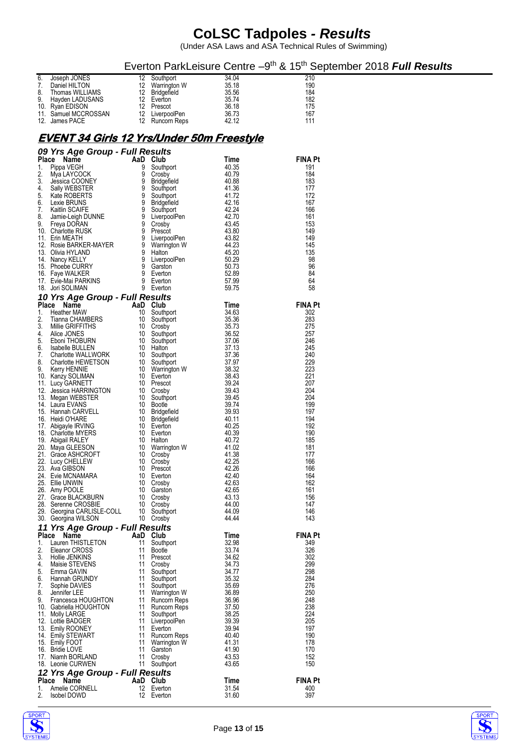|                                                      |                                          |                |                               | Everton ParkLeisure Centre -9 <sup>th</sup> & 15 <sup>th</sup> September 2018 <b>Full Results</b> |
|------------------------------------------------------|------------------------------------------|----------------|-------------------------------|---------------------------------------------------------------------------------------------------|
| Joseph JONES<br>6.                                   | Southport<br>12                          | 34.04          | 210                           |                                                                                                   |
| 7.<br>Daniel HILTON<br>8.<br>Thomas WILLIAMS         | 12<br>Warrington W<br>12<br>Bridgefield  | 35.18<br>35.56 | 190<br>184                    |                                                                                                   |
| 9.<br>Hayden LADUSANS                                | 12 <sup>2</sup><br>Everton               | 35.74          | 182                           |                                                                                                   |
| 10.<br>Ryan EDISON                                   | 12<br>Prescot                            |                | 175<br>36.18                  |                                                                                                   |
| 11. Samuel MCCROSSAN<br>12. James PACE               | 12<br>LiverpoolPen<br>12 Runcorn Reps    | 42.12          | 36.73<br>167<br>111           |                                                                                                   |
|                                                      |                                          |                |                               |                                                                                                   |
| <u>EVENT 34 Girls 12 Yrs/Under 50m Freestyle</u>     |                                          |                |                               |                                                                                                   |
| 09 Yrs Age Group - Full Results                      |                                          |                |                               |                                                                                                   |
| Place Name                                           | AaD Club                                 |                | <b>FINA Pt</b><br>Time        |                                                                                                   |
| Pippa VEGH<br>1.                                     | 9<br>Southport<br>9<br>Crosby            | 40.35<br>40.79 | 191<br>184                    |                                                                                                   |
| 2.<br>Mya LAYCOCK<br>3.<br>Jessica COONEY            | 9<br><b>Bridgefield</b>                  | 40.88          | 183                           |                                                                                                   |
| 4.<br>Sally WEBSTER                                  | 9<br>Southport                           |                | 41.36<br>177                  |                                                                                                   |
| 5.<br>Kate ROBERTS                                   | 9<br>Southport<br>9                      | 41.72<br>42.16 | 172<br>167                    |                                                                                                   |
| Lexie BRUNS<br>6.<br>7.<br>Kaitlin SCAIFE            | <b>Bridgefield</b><br>9<br>Southport     | 42.24          | 166                           |                                                                                                   |
| 8.<br>Jamie-Leigh DUNNE                              | 9<br>LiverpoolPen                        | 42.70          | 161                           |                                                                                                   |
| 9.<br>Freya DORAN<br>10. Charlotte RUSK              | 9<br>Crosby<br>9<br>Prescot              | 43.45<br>43.80 | 153<br>149                    |                                                                                                   |
| 11. Erin MEATH                                       | 9<br>LiverpoolPen                        | 43.82          | 149                           |                                                                                                   |
| 12. Rosie BARKER-MAYER                               | 9<br>Warrington W                        | 44.23          | 145                           |                                                                                                   |
| 13. Olivia HYLAND<br>14. Nancy KELLY                 | 9<br>Halton<br>9<br>LiverpoolPen         | 45.20<br>50.29 | 135<br>98                     |                                                                                                   |
| 15. Phoebe CURRY                                     | 9<br>Garston                             | 50.73          | 96                            |                                                                                                   |
| Faye WALKER<br>16.                                   | 9<br>Everton                             | 52.89          | 84                            |                                                                                                   |
| 17. Evie-Mai PARKINS<br>18. Jori SOLIMAN             | 9<br>Everton<br>9<br>Everton             | 57.99<br>59.75 | 64<br>58                      |                                                                                                   |
| 10 Yrs Age Group - Full Results                      |                                          |                |                               |                                                                                                   |
| Place Name                                           | AaD Club                                 |                | <b>FINA Pt</b><br>Time        |                                                                                                   |
| 1.<br><b>Heather MAW</b><br>2.<br>Tianna CHAMBERS    | 10<br>Southport<br>10<br>Southport       |                | 34.63<br>302<br>283<br>35.36  |                                                                                                   |
| 3.<br>Millie GRIFFITHS                               | 10<br>Crosby                             | 35.73          | 275                           |                                                                                                   |
| 4.<br>Alice JONES                                    | 10<br>Southport                          |                | 36.52<br>257                  |                                                                                                   |
| 5.<br>Eboni THOBURN<br>6.<br>Isabelle BULLEN         | 10<br>Southport<br>10 Halton             | 37.13          | 37.06<br>246<br>245           |                                                                                                   |
| 7.<br><b>Charlotte WALLWORK</b>                      | 10<br>Southport                          | 37.36          | 240                           |                                                                                                   |
| 8.<br>Charlotte HEWETSON                             | 10<br>Southport                          | 37.97          | 229                           |                                                                                                   |
| 9.<br>Kerry HENNIE<br>10. Kanzy SOLIMAN              | 10 Warrington W<br>10<br>Everton         |                | 223<br>38.32<br>221<br>38.43  |                                                                                                   |
| 11. Lucy GARNETT                                     | 10 Prescot                               | 39.24          | 207                           |                                                                                                   |
| 12. Jessica HARRINGTON                               | 10<br>Crosby                             |                | 204<br>39.43                  |                                                                                                   |
| 13. Megan WEBSTER<br>14. Laura EVANS                 | 10<br>Southport<br>10<br>Bootle          | 39.74          | 204<br>39.45<br>199           |                                                                                                   |
| 15. Hannah CARVELL                                   | 10<br>Bridgefield                        | 39.93          | 197                           |                                                                                                   |
| Heidi O'HARE<br>16.                                  | 10<br>Bridgefield                        | 40.11<br>40.25 | 194<br>192                    |                                                                                                   |
| 17. Abigayle IRVING<br><b>Charlotte MYERS</b><br>18. | 10 Everton<br>10<br>Everton              | 40.39          | 190                           |                                                                                                   |
| Abigail RALEY<br>19.                                 | Halton<br>10                             | 40.72          | 185                           |                                                                                                   |
| 20.<br>Maya GLEESON<br>21. Grace ASHCROFT            | Warrington W<br>10<br>10<br>Crosby       | 41.02<br>41.38 | 181<br>177                    |                                                                                                   |
| 22.<br>Lucy CHELLEW                                  | 10<br>Crosby                             | 42.25          | 166                           |                                                                                                   |
| 23. Ava GIBSON                                       | 10<br>Prescot                            | 42.26          | 166                           |                                                                                                   |
| 24. Evie MCNAMARA<br>25. Ellie UNWIN                 | 10<br>Everton<br>10<br>Crosby            | 42.63          | 42.40<br>164<br>162           |                                                                                                   |
| 26. Amy POOLE                                        | 10<br>Garston                            |                | 42.65<br>161                  |                                                                                                   |
| 27. Grace BLACKBURN                                  | 10<br>Crosby                             |                | 156<br>43.13                  |                                                                                                   |
| 28. Serenne CROSBIE<br>29.<br>Georgina CARLISLE-COLL | 10<br>Crosby<br>10<br>Southport          | 44.00<br>44.09 | 147<br>146                    |                                                                                                   |
| 30. Georgina WILSON                                  | 10<br>Crosby                             | 44.44          | 143                           |                                                                                                   |
| 11 Yrs Age Group - Full Results                      |                                          |                |                               |                                                                                                   |
| Place Name<br>Lauren THISTLETON<br>1.                | AaD Club<br>11<br>Southport              | 32.98          | <b>FINA Pt</b><br>Time<br>349 |                                                                                                   |
| 2.<br>Eleanor CROSS                                  | 11<br>Bootle                             | 33.74          | 326                           |                                                                                                   |
| 3.<br>Hollie JENKINS                                 | Prescot<br>11                            |                | 34.62<br>302                  |                                                                                                   |
| Maisie STEVENS<br>4.<br>5.<br>Emma GAVIN             | 11<br>Crosby<br>11<br>Southport          |                | 299<br>34.73<br>298<br>34.77  |                                                                                                   |
| Hannah GRUNDY<br>6.                                  | 11<br>Southport                          |                | 35.32<br>284                  |                                                                                                   |
| Sophie DAVIES<br>7.                                  | 11<br>Southport                          |                | 35.69<br>276                  |                                                                                                   |
| 8.<br>Jennifer LEE<br>9.<br>Francesca HOUGHTON       | Warrington W<br>11<br>11<br>Runcorn Reps | 36.96          | 250<br>36.89<br>248           |                                                                                                   |
| 10. Gabriella HOUGHTON                               | 11<br>Runcorn Reps                       |                | 37.50<br>238                  |                                                                                                   |
| 11. Molly LARGE                                      | Southport<br>11                          |                | 224<br>38.25                  |                                                                                                   |
| Lottie BADGER<br>12.<br>13. Emily ROONEY             | 11<br>LiverpoolPen<br>Everton<br>11      | 39.39          | 205<br>39.94<br>197           |                                                                                                   |
| 14. Emily STEWART                                    | 11<br><b>Runcorn Reps</b>                |                | 40.40<br>190                  |                                                                                                   |
| 15. Emily FOOT                                       | 11<br>Warrington W                       | 41.31          | 178                           |                                                                                                   |
| 16. Bridie LOVE<br>17. Niamh BORLAND                 | 11<br>Garston<br>11<br>Crosby            | 43.53          | 41.90<br>170<br>152           |                                                                                                   |
| 18. Leonie CURWEN                                    | 11<br>Southport                          | 43.65          | 150                           |                                                                                                   |
| 12 Yrs Age Group - Full Results                      |                                          |                |                               |                                                                                                   |
| Place Name<br>Amelie CORNELL<br>1.                   | AaD Club<br>12 Everton                   | 31.54          | <b>FINA Pt</b><br>Time<br>400 |                                                                                                   |
| <b>Isobel DOWD</b><br>2.                             | 12 Everton                               | 31.60          | 397                           |                                                                                                   |



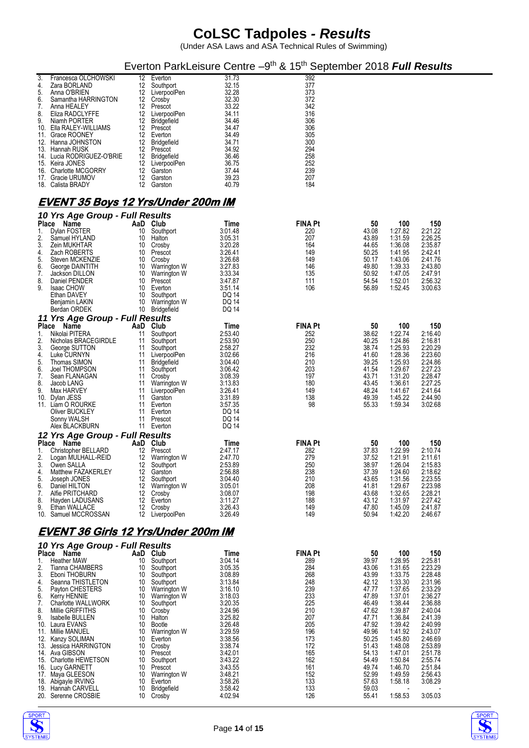(Under ASA Laws and ASA Technical Rules of Swimming)

#### Everton ParkLeisure Centre -9<sup>th</sup> & 15<sup>th</sup> September 2018 Full Results

| 3.  | Francesca OLCHOWSKI        | 12. | Everton      | 31.73 | 392 |
|-----|----------------------------|-----|--------------|-------|-----|
| 4.  | Zara BORLAND               | 12  | Southport    | 32.15 | 377 |
| 5.  | Anna O'BRIEN               | 12  | LiverpoolPen | 32.28 | 373 |
| 6.  | Samantha HARRINGTON        | 12  | Crosby       | 32.30 | 372 |
| 7.  | Anna HEALEY                | 12  | Prescot      | 33.22 | 342 |
| 8.  | Eliza RADCLYFFE            | 12  | LiverpoolPen | 34.11 | 316 |
| 9.  | Niamh PORTER               | 12  | Bridgefield  | 34.46 | 306 |
| 10. | Ella RALEY-WILLIAMS        | 12  | Prescot      | 34.47 | 306 |
| 11. | Grace ROONEY               | 12  | Everton      | 34.49 | 305 |
|     | 12. Hanna JOHNSTON         | 12  | Bridgefield  | 34.71 | 300 |
|     | 13. Hannah RUSK            | 12  | Prescot      | 34.92 | 294 |
|     | 14. Lucia RODRIGUEZ-O'BRIE | 12  | Bridgefield  | 36.46 | 258 |
|     | 15. Keira JONES            | 12  | LiverpoolPen | 36.75 | 252 |
|     | 16. Charlotte MCGORRY      | 12  | Garston      | 37.44 | 239 |
| 17. | Gracie URUMOV              | 12  | Garston      | 39.23 | 207 |
|     | 18. Calista BRADY          | 12  | Garston      | 40.79 | 184 |

#### **EVENT 35 Boys 12 Yrs/Under 200m IM**

|                   | 10 Yrs Age Group - Full Results                                    |                       |                                                     |                                    |                              |                         |                               |                               |
|-------------------|--------------------------------------------------------------------|-----------------------|-----------------------------------------------------|------------------------------------|------------------------------|-------------------------|-------------------------------|-------------------------------|
| Place<br>1.<br>2. | <b>Name</b><br>Dylan FOSTER<br>Samuel HYLAND                       | 10<br>10              | AaD Club<br>Southport<br>Halton                     | Time<br>3.01.48<br>3:05.31         | <b>FINA Pt</b><br>220<br>207 | 50<br>43.08<br>43.89    | 100<br>1:27.82<br>1:31.59     | 150<br>2:21.22<br>2:26.25     |
| 3.<br>4.<br>5.    | Zein MUKHTAR<br>Zach ROBERTS<br>Steven MCKENZIE                    | 10<br>10<br>10        | Crosby<br>Prescot<br>Crosby                         | 3:20.28<br>3:26.41<br>3.26.68      | 164<br>149<br>149            | 44.65<br>50.25<br>50.17 | 1.36.08<br>1.41.95<br>1.43.06 | 2:35.87<br>2:42.41<br>2:41.76 |
| 6.<br>7.<br>8.    | George DAINTITH<br>Jackson DILLON<br>Daniel PENDER                 | 10<br>10              | Warrington W<br>Warrington W<br>10 Prescot          | 3:27.83<br>3:33.34<br>3.47.87      | 146<br>135<br>111            | 49.80<br>50.92<br>54.54 | 1.39.33<br>1.47.05<br>1:52.01 | 2:43.80<br>2:47.91<br>2:56.32 |
| 9.                | <b>Isaac CHOW</b><br>Ethan DAVEY<br>Benjamin LAKIN<br>Berdan ORDEK | 10<br>10<br>10<br>10  | Everton<br>Southport<br>Warrington W<br>Bridgefield | 3.51.14<br>DQ 14<br>DQ 14<br>DQ 14 | 106                          | 56.89                   | 1:52.45                       | 3:00.63                       |
|                   | 11 Yrs Age Group - Full Results                                    |                       |                                                     |                                    |                              |                         |                               |                               |
| Place             | Name                                                               |                       | AaD Club                                            | Time                               | <b>FINA Pt</b>               | 50                      | 100                           | 150                           |
| 1.<br>2.          | Nikolai PITERA<br>Nicholas BRACEGIRDLE                             | 11<br>11              | Southport<br>Southport                              | 2:53.40<br>2:53.90                 | 252<br>250                   | 38.62<br>40.25          | 1:22.74<br>1.24.86            | 2:16.40<br>2:16.81            |
| 3.                | George SUTTON                                                      | 11                    | Southport                                           | 2:58.27                            | 232                          | 38.74                   | 1:25.93                       | 2:20.29                       |
| 4.<br>5.          | Luke CURNYN<br>Thomas SIMON                                        | 11<br>11              | LiverpoolPen<br><b>Bridgefield</b>                  | 3:02.66<br>3.04.40                 | 216<br>210                   | 41.60<br>39.25          | 1.28.36<br>1:25.93            | 2:23.60<br>2:24.86            |
| 6.                | Joel THOMPSON                                                      | 11                    | Southport                                           | 3.06.42                            | 203                          | 41.54                   | 1:29.67                       | 2:27.23                       |
| 7.<br>8.          | Sean FLANAGAN<br>Jacob LANG                                        | 11<br>11              | Crosby<br>Warrington W                              | 3.08.39<br>3:13.83                 | 197<br>180                   | 43.71<br>43.45          | 1.31.20<br>1:36.61            | 2:28.47<br>2:27.25            |
| 9.                | Max HARVEY                                                         | 11                    | LiverpoolPen                                        | 3:26.41                            | 149                          | 48.24                   | 1:41.67                       | 2:41.64                       |
|                   | 10. Dylan JESS<br>11. Liam O ROURKE                                | 11<br>11              | Garston<br>Everton                                  | 3:31.89<br>3.57.35                 | 138<br>98                    | 49.39<br>55.33          | 1.45.22<br>1:59.34            | 2:44.90<br>3:02.68            |
|                   | Oliver BUCKLEY                                                     | 11                    | Everton                                             | DQ 14                              |                              |                         |                               |                               |
|                   | Sonny WALSH<br>Alex BLACKBURN                                      | 11                    | Prescot<br>11 Everton                               | DQ 14<br>DQ 14                     |                              |                         |                               |                               |
|                   | 12 Yrs Age Group - Full Results                                    |                       |                                                     |                                    |                              |                         |                               |                               |
| Place             | Name                                                               |                       | AaD Club                                            | Time                               | <b>FINA Pt</b>               | 50                      | 100                           | 150                           |
| 1.<br>2.          | Christopher BELLARD<br>Logan MULHALL-REID                          | 12                    | 12 Prescot<br>Warrington W                          | 2.47.17<br>2:47.70                 | 282<br>279                   | 37.83<br>37.52          | 1:22.99<br>1:21.91            | 2:10.74<br>2:11.61            |
| 3.                | Owen SALLA                                                         | 12 <sup>2</sup>       | Southport                                           | 2:53.89                            | 250                          | 38.97                   | 1.26.04                       | 2:15.83                       |
| 4.<br>5.          | Matthew FAZAKERLEY<br>Joseph JONES                                 | 12                    | 12 Garston<br>Southport                             | 2.56.88<br>3.04.40                 | 238<br>210                   | 37.39<br>43.65          | 1:24.60<br>1:31.56            | 2:18.62<br>2:23.55            |
| 6.                | Daniel HILTON                                                      | 12                    | Warrington W                                        | 3:05.01                            | 208                          | 41.81                   | 1:29.67                       | 2:23.98                       |
| 7.<br>8.          | Alfie PRITCHARD<br>Hayden LADUSANS                                 | 12<br>12 <sup>2</sup> | Crosby<br>Everton                                   | 3.08.07<br>3:11.27                 | 198<br>188                   | 43.68<br>43.12          | 1:32.65<br>1:31.97            | 2:28.21<br>2:27.42            |
| 9.                | Ethan WALLACE                                                      | 12 <sup>2</sup>       | Crosby                                              | 3.26.43                            | 149                          | 47.80                   | 1.45.09                       | 2:41.87                       |
|                   | 10. Samuel MCCROSSAN                                               | 12                    | LiverpoolPen                                        | 3.26.49                            | 149                          | 50.94                   | 1:42.20                       | 2:46.67                       |
|                   | <u>EVENT 36 Girls 12 Yrs/Under 200m IM</u>                         |                       |                                                     |                                    |                              |                         |                               |                               |
| Place             | 10 Yrs Age Group - Full Results<br>Name                            |                       | AaD Club                                            | Time                               | <b>FINA Pt</b>               | 50                      | 100                           | 150                           |
| 1.                | <b>Heather MAW</b>                                                 | 10                    | Southport                                           | 3:04.14                            | 289                          | 39.97                   | 1:28.95                       | 2:25.81                       |
| 2.<br>3.          | Tianna CHAMBERS<br>Eboni THOBURN                                   | 10<br>10              | Southport<br>Southport                              | 3:05.35<br>3.08.89                 | 284<br>268                   | 43.06<br>43.99          | 1:31.65<br>1:33.75            | 2:23.29<br>2:28.48            |
| 4.                | Seanna THISTLETON                                                  |                       | 10 Southport                                        | 3:13.84                            | 248                          | 42.12                   | 1.33.30                       | 2:31.96                       |
| 5.<br>6.          | Payton CHESTERS<br>Kerry HENNIE                                    | 10                    | 10 Warrington W<br>Warrington W                     | 3:16.10<br>3:18.03                 | 239<br>233                   | 47.77<br>47.89          | 1.37.65<br>1:37.01            | 2:33.29<br>2:36.27            |
| 7.                | <b>Charlotte WALLWORK</b>                                          | 10                    | Southport                                           | 3:20.35                            | 225                          | 46.49                   | 1.38.44                       | 2:36.88                       |
| 8.<br>9.          | Millie GRIFFITHS<br>Isabelle BULLEN                                | 10                    | 10 Crosby<br>Halton                                 | 3:24.96<br>3:25.82                 | 210<br>207                   | 47.62<br>47.71          | 1:39.87<br>1:36.84            | 2:40.04<br>2:41.39            |
|                   | 10. Laura EVANS                                                    | 10                    | Bootle                                              | 3:26.48                            | 205                          | 47.92                   | 1.39.42                       | 2:40.99                       |
|                   | 11. Millie MANUEL<br>12. Kanzy SOLIMAN                             | 10<br>10              | Warrington W<br>Everton                             | 3:29.59<br>3:38.56                 | 196<br>173                   | 49.96<br>50.25          | 1:41.92<br>1:45.80            | 2:43.07<br>2:46.69            |
|                   | 13. Jessica HARRINGTON                                             |                       | 10 Crosby                                           | 3:38.74                            | 172                          | 51.43                   | 1.48.08                       | 2:53.89                       |
|                   | 14. Ava GIBSON<br>15. Charlotte HEWETSON                           | 10<br>10              | Prescot<br>Southport                                | 3:42.01<br>3:43.22                 | 165<br>162                   | 54.13<br>54.49          | 1.47.01<br>1:50.84            | 2:51.78<br>2:55.74            |
|                   | 16. Lucy GARNETT                                                   | 10                    | Prescot                                             | 3:43.55                            | 161                          | 49.74                   | 1.46.70                       | 2:51.84                       |
|                   | 17. Maya GLEESON<br>18. Abigayle IRVING                            | 10<br>10              | Warrington W<br>Everton                             | 3:48.21<br>3:58.26                 | 152<br>133                   | 52.99<br>57.63          | 1:49.59<br>1:58.18            | 2:56.43<br>3:08.29            |
|                   | 19. Hannah CARVELL                                                 | 10                    | Bridgefield                                         | 3:58.42                            | 133                          | 59.03                   |                               |                               |
|                   | 20. Serenne CROSBIE                                                | 10                    | Crosby                                              | 4:02.94                            | 126                          | 55.41                   | 1:58.53                       | 3:05.03                       |